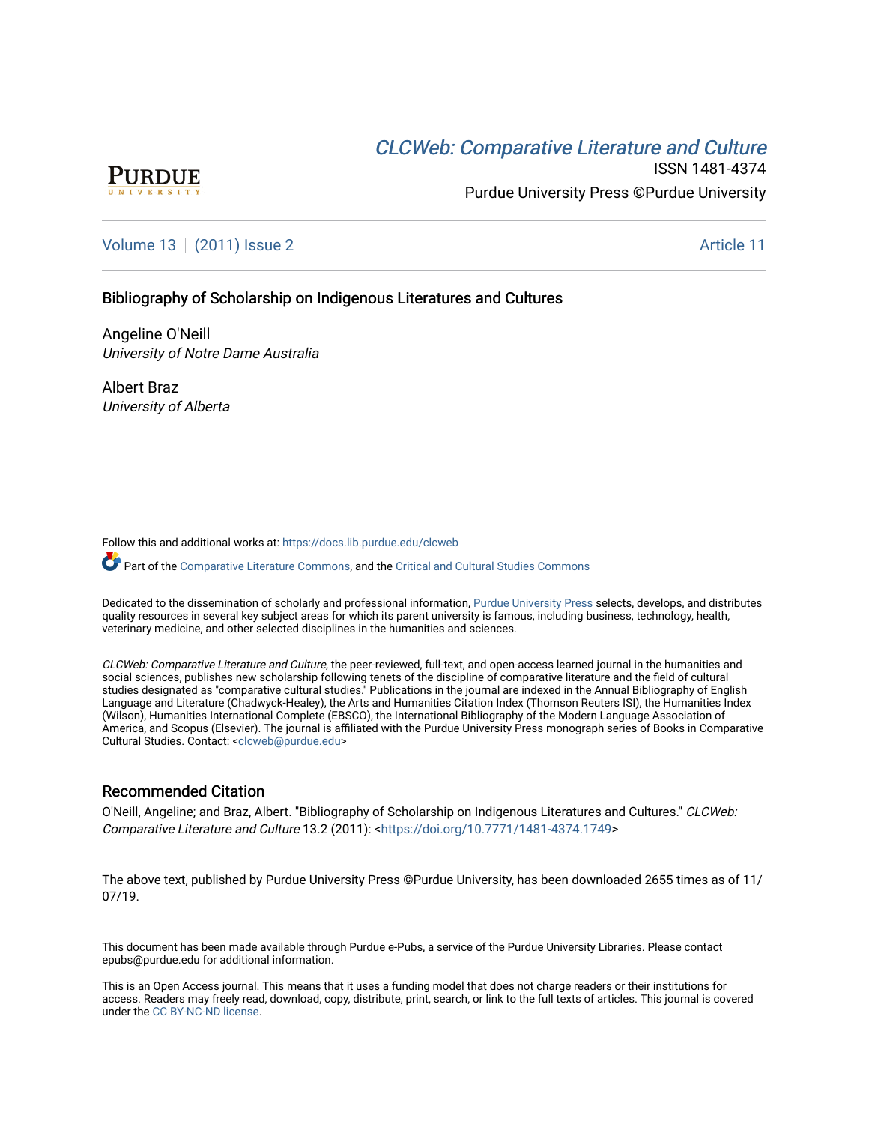# **CLCW[eb: Comparative Liter](https://docs.lib.purdue.edu/clcweb)ature and Culture**



ISSN 1481-4374 Purdue University Press ©Purdue University

# [Volume 13](https://docs.lib.purdue.edu/clcweb/vol13) | [\(2011\) Issue 2](https://docs.lib.purdue.edu/clcweb/vol13/iss2) Article 11

# Bibliography of Scholarship on Indigenous Literatures and Cultures

Angeline O'Neill University of Notre Dame Australia

Albert Braz University of Alberta

Follow this and additional works at: [https://docs.lib.purdue.edu/clcweb](https://docs.lib.purdue.edu/clcweb?utm_source=docs.lib.purdue.edu%2Fclcweb%2Fvol13%2Fiss2%2F11&utm_medium=PDF&utm_campaign=PDFCoverPages)

Part of the [Comparative Literature Commons,](http://network.bepress.com/hgg/discipline/454?utm_source=docs.lib.purdue.edu%2Fclcweb%2Fvol13%2Fiss2%2F11&utm_medium=PDF&utm_campaign=PDFCoverPages) and the Critical and Cultural Studies Commons

Dedicated to the dissemination of scholarly and professional information, [Purdue University Press](http://www.thepress.purdue.edu/) selects, develops, and distributes quality resources in several key subject areas for which its parent university is famous, including business, technology, health, veterinary medicine, and other selected disciplines in the humanities and sciences.

CLCWeb: Comparative Literature and Culture, the peer-reviewed, full-text, and open-access learned journal in the humanities and social sciences, publishes new scholarship following tenets of the discipline of comparative literature and the field of cultural studies designated as "comparative cultural studies." Publications in the journal are indexed in the Annual Bibliography of English Language and Literature (Chadwyck-Healey), the Arts and Humanities Citation Index (Thomson Reuters ISI), the Humanities Index (Wilson), Humanities International Complete (EBSCO), the International Bibliography of the Modern Language Association of America, and Scopus (Elsevier). The journal is affiliated with the Purdue University Press monograph series of Books in Comparative Cultural Studies. Contact: [<clcweb@purdue.edu](mailto:clcweb@purdue.edu)>

# Recommended Citation

O'Neill, Angeline; and Braz, Albert. "Bibliography of Scholarship on Indigenous Literatures and Cultures." CLCWeb: Comparative Literature and Culture 13.2 (2011): <<https://doi.org/10.7771/1481-4374.1749>>

The above text, published by Purdue University Press ©Purdue University, has been downloaded 2655 times as of 11/ 07/19.

This document has been made available through Purdue e-Pubs, a service of the Purdue University Libraries. Please contact epubs@purdue.edu for additional information.

This is an Open Access journal. This means that it uses a funding model that does not charge readers or their institutions for access. Readers may freely read, download, copy, distribute, print, search, or link to the full texts of articles. This journal is covered under the [CC BY-NC-ND license.](https://creativecommons.org/licenses/by-nc-nd/4.0/)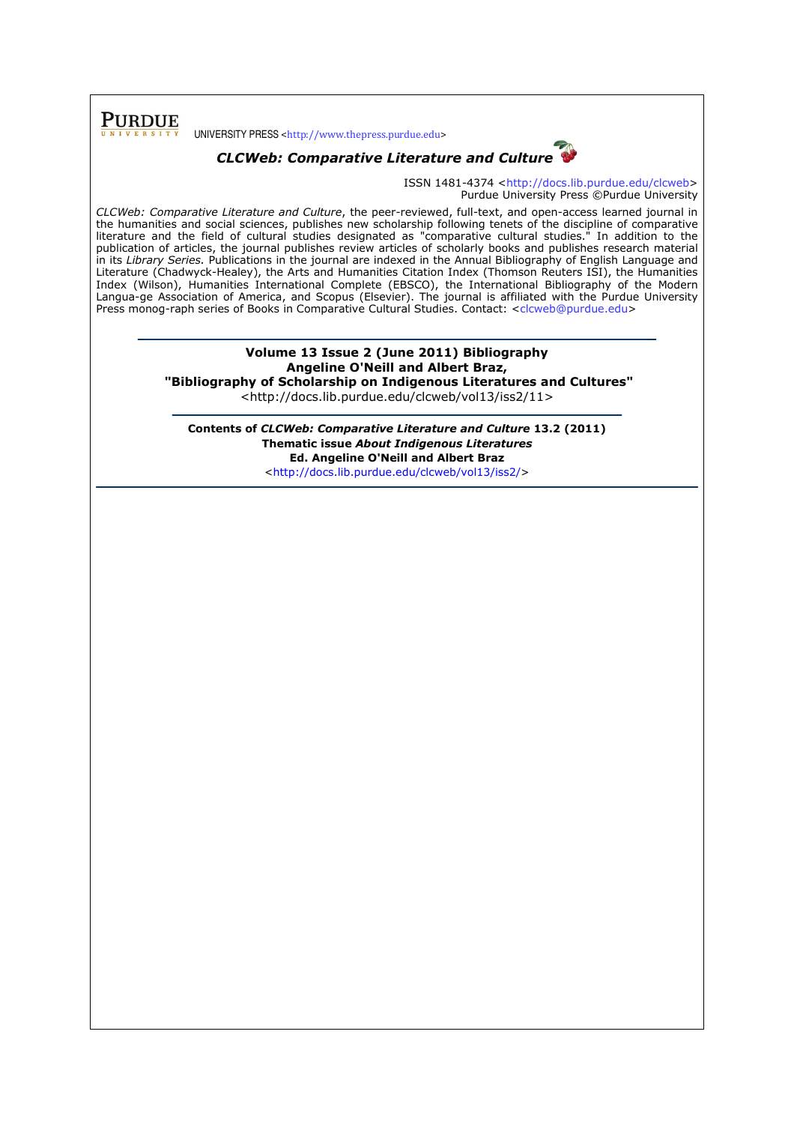



CLCWeb: Comparative Literature and Culture

ISSN 1481-4374 <http://docs.lib.purdue.edu/clcweb> Purdue University Press ©Purdue University

CLCWeb: Comparative Literature and Culture, the peer-reviewed, full-text, and open-access learned journal in the humanities and social sciences, publishes new scholarship following tenets of the discipline of comparative literature and the field of cultural studies designated as "comparative cultural studies." In addition to the publication of articles, the journal publishes review articles of scholarly books and publishes research material in its Library Series. Publications in the journal are indexed in the Annual Bibliography of English Language and Literature (Chadwyck-Healey), the Arts and Humanities Citation Index (Thomson Reuters ISI), the Humanities Index (Wilson), Humanities International Complete (EBSCO), the International Bibliography of the Modern Langua-ge Association of America, and Scopus (Elsevier). The journal is affiliated with the Purdue University Press monog-raph series of Books in Comparative Cultural Studies. Contact: <clcweb@purdue.edu>

> Volume 13 Issue 2 (June 2011) Bibliography Angeline O'Neill and Albert Braz, "Bibliography of Scholarship on Indigenous Literatures and Cultures"

<http://docs.lib.purdue.edu/clcweb/vol13/iss2/11>

Contents of CLCWeb: Comparative Literature and Culture 13.2 (2011) Thematic issue About Indigenous Literatures Ed. Angeline O'Neill and Albert Braz <http://docs.lib.purdue.edu/clcweb/vol13/iss2/>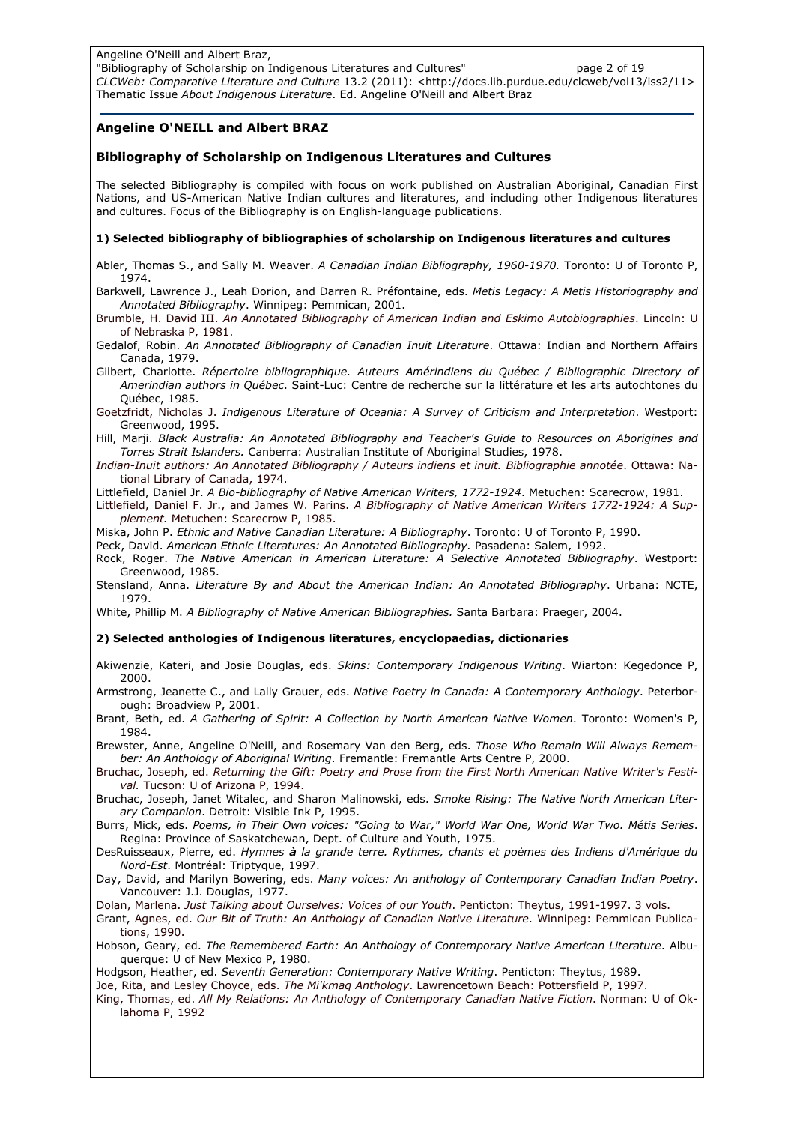"Bibliography of Scholarship on Indigenous Literatures and Cultures" page 2 of 19

CLCWeb: Comparative Literature and Culture 13.2 (2011): <http://docs.lib.purdue.edu/clcweb/vol13/iss2/11> Thematic Issue About Indigenous Literature. Ed. Angeline O'Neill and Albert Braz

## Angeline O'NEILL and Albert BRAZ

## Bibliography of Scholarship on Indigenous Literatures and Cultures

The selected Bibliography is compiled with focus on work published on Australian Aboriginal, Canadian First Nations, and US-American Native Indian cultures and literatures, and including other Indigenous literatures and cultures. Focus of the Bibliography is on English-language publications.

## 1) Selected bibliography of bibliographies of scholarship on Indigenous literatures and cultures

Abler, Thomas S., and Sally M. Weaver. A Canadian Indian Bibliography, 1960-1970. Toronto: U of Toronto P, 1974.

Barkwell, Lawrence J., Leah Dorion, and Darren R. Préfontaine, eds. Metis Legacy: A Metis Historiography and Annotated Bibliography. Winnipeg: Pemmican, 2001.

Brumble, H. David III. An Annotated Bibliography of American Indian and Eskimo Autobiographies. Lincoln: U of Nebraska P, 1981.

Gedalof, Robin. An Annotated Bibliography of Canadian Inuit Literature. Ottawa: Indian and Northern Affairs Canada, 1979.

Gilbert, Charlotte. Répertoire bibliographique. Auteurs Amérindiens du Québec / Bibliographic Directory of Amerindian authors in Québec. Saint-Luc: Centre de recherche sur la littérature et les arts autochtones du Québec, 1985.

Goetzfridt, Nicholas J. Indigenous Literature of Oceania: A Survey of Criticism and Interpretation. Westport: Greenwood, 1995.

Hill, Marji. Black Australia: An Annotated Bibliography and Teacher's Guide to Resources on Aborigines and Torres Strait Islanders. Canberra: Australian Institute of Aboriginal Studies, 1978.

Indian-Inuit authors: An Annotated Bibliography / Auteurs indiens et inuit. Bibliographie annotée. Ottawa: National Library of Canada, 1974.

Littlefield, Daniel Jr. A Bio-bibliography of Native American Writers, 1772-1924. Metuchen: Scarecrow, 1981.

Littlefield, Daniel F. Jr., and James W. Parins. A Bibliography of Native American Writers 1772-1924: A Supplement. Metuchen: Scarecrow P, 1985.

Miska, John P. Ethnic and Native Canadian Literature: A Bibliography. Toronto: U of Toronto P, 1990.

Peck, David. American Ethnic Literatures: An Annotated Bibliography. Pasadena: Salem, 1992.

Rock, Roger. The Native American in American Literature: A Selective Annotated Bibliography. Westport: Greenwood, 1985.

Stensland, Anna. Literature By and About the American Indian: An Annotated Bibliography. Urbana: NCTE, 1979.

White, Phillip M. A Bibliography of Native American Bibliographies. Santa Barbara: Praeger, 2004.

## 2) Selected anthologies of Indigenous literatures, encyclopaedias, dictionaries

Akiwenzie, Kateri, and Josie Douglas, eds. Skins: Contemporary Indigenous Writing. Wiarton: Kegedonce P, 2000.

Armstrong, Jeanette C., and Lally Grauer, eds. Native Poetry in Canada: A Contemporary Anthology. Peterborough: Broadview P, 2001.

Brant, Beth, ed. A Gathering of Spirit: A Collection by North American Native Women. Toronto: Women's P, 1984.

Brewster, Anne, Angeline O'Neill, and Rosemary Van den Berg, eds. Those Who Remain Will Always Remember: An Anthology of Aboriginal Writing. Fremantle: Fremantle Arts Centre P, 2000.

Bruchac, Joseph, ed. Returning the Gift: Poetry and Prose from the First North American Native Writer's Festival. Tucson: U of Arizona P, 1994.

Bruchac, Joseph, Janet Witalec, and Sharon Malinowski, eds. Smoke Rising: The Native North American Literary Companion. Detroit: Visible Ink P, 1995.

Burrs, Mick, eds. Poems, in Their Own voices: "Going to War," World War One, World War Two. Métis Series. Regina: Province of Saskatchewan, Dept. of Culture and Youth, 1975.

DesRuisseaux, Pierre, ed. Hymnes à la grande terre. Rythmes, chants et poèmes des Indiens d'Amérique du Nord-Est. Montréal: Triptyque, 1997.

Day, David, and Marilyn Bowering, eds. Many voices: An anthology of Contemporary Canadian Indian Poetry. Vancouver: J.J. Douglas, 1977.

Dolan, Marlena. Just Talking about Ourselves: Voices of our Youth. Penticton: Theytus, 1991-1997. 3 vols.

Grant, Agnes, ed. Our Bit of Truth: An Anthology of Canadian Native Literature. Winnipeg: Pemmican Publications, 1990.

Hobson, Geary, ed. The Remembered Earth: An Anthology of Contemporary Native American Literature. Albuquerque: U of New Mexico P, 1980.

Hodgson, Heather, ed. Seventh Generation: Contemporary Native Writing. Penticton: Theytus, 1989.

Joe, Rita, and Lesley Choyce, eds. The Mi'kmaq Anthology. Lawrencetown Beach: Pottersfield P, 1997.

King, Thomas, ed. All My Relations: An Anthology of Contemporary Canadian Native Fiction. Norman: U of Oklahoma P, 1992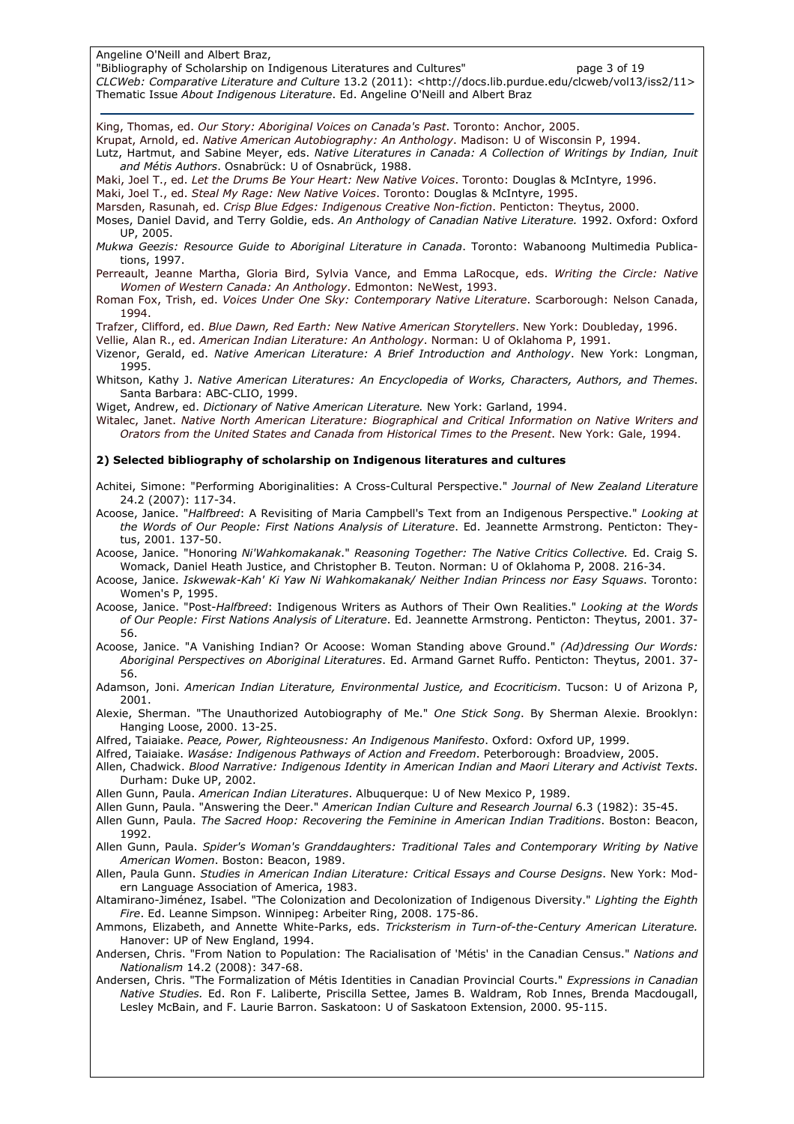"Bibliography of Scholarship on Indigenous Literatures and Cultures" page 3 of 19

CLCWeb: Comparative Literature and Culture 13.2 (2011): <http://docs.lib.purdue.edu/clcweb/vol13/iss2/11> Thematic Issue About Indigenous Literature. Ed. Angeline O'Neill and Albert Braz

King, Thomas, ed. Our Story: Aboriginal Voices on Canada's Past. Toronto: Anchor, 2005.

Krupat, Arnold, ed. Native American Autobiography: An Anthology. Madison: U of Wisconsin P, 1994.

Lutz, Hartmut, and Sabine Meyer, eds. Native Literatures in Canada: A Collection of Writings by Indian, Inuit and Métis Authors. Osnabrück: U of Osnabrück, 1988.

Maki, Joel T., ed. Let the Drums Be Your Heart: New Native Voices. Toronto: Douglas & McIntyre, 1996.

Maki, Joel T., ed. Steal My Rage: New Native Voices. Toronto: Douglas & McIntyre, 1995.

Marsden, Rasunah, ed. Crisp Blue Edges: Indigenous Creative Non-fiction. Penticton: Theytus, 2000.

Moses, Daniel David, and Terry Goldie, eds. An Anthology of Canadian Native Literature. 1992. Oxford: Oxford UP, 2005.

Mukwa Geezis: Resource Guide to Aboriginal Literature in Canada. Toronto: Wabanoong Multimedia Publications, 1997.

Perreault, Jeanne Martha, Gloria Bird, Sylvia Vance, and Emma LaRocque, eds. Writing the Circle: Native Women of Western Canada: An Anthology. Edmonton: NeWest, 1993.

Roman Fox, Trish, ed. Voices Under One Sky: Contemporary Native Literature. Scarborough: Nelson Canada, 1994.

Trafzer, Clifford, ed. Blue Dawn, Red Earth: New Native American Storytellers. New York: Doubleday, 1996.

Vellie, Alan R., ed. American Indian Literature: An Anthology. Norman: U of Oklahoma P, 1991.

Vizenor, Gerald, ed. Native American Literature: A Brief Introduction and Anthology. New York: Longman, 1995.

Whitson, Kathy J. Native American Literatures: An Encyclopedia of Works, Characters, Authors, and Themes. Santa Barbara: ABC-CLIO, 1999.

Wiget, Andrew, ed. Dictionary of Native American Literature. New York: Garland, 1994.

Witalec, Janet. Native North American Literature: Biographical and Critical Information on Native Writers and Orators from the United States and Canada from Historical Times to the Present. New York: Gale, 1994.

#### 2) Selected bibliography of scholarship on Indigenous literatures and cultures

Achitei, Simone: "Performing Aboriginalities: A Cross-Cultural Perspective." Journal of New Zealand Literature 24.2 (2007): 117-34.

Acoose, Janice. "Halfbreed: A Revisiting of Maria Campbell's Text from an Indigenous Perspective." Looking at the Words of Our People: First Nations Analysis of Literature. Ed. Jeannette Armstrong. Penticton: Theytus, 2001. 137-50.

Acoose, Janice. "Honoring Ni'Wahkomakanak." Reasoning Together: The Native Critics Collective. Ed. Craig S. Womack, Daniel Heath Justice, and Christopher B. Teuton. Norman: U of Oklahoma P, 2008. 216-34.

Acoose, Janice. Iskwewak-Kah' Ki Yaw Ni Wahkomakanak/ Neither Indian Princess nor Easy Squaws. Toronto: Women's P, 1995.

Acoose, Janice. "Post-Halfbreed: Indigenous Writers as Authors of Their Own Realities." Looking at the Words of Our People: First Nations Analysis of Literature. Ed. Jeannette Armstrong. Penticton: Theytus, 2001. 37- 56.

Acoose, Janice. "A Vanishing Indian? Or Acoose: Woman Standing above Ground." (Ad)dressing Our Words: Aboriginal Perspectives on Aboriginal Literatures. Ed. Armand Garnet Ruffo. Penticton: Theytus, 2001. 37- 56.

Adamson, Joni. American Indian Literature, Environmental Justice, and Ecocriticism. Tucson: U of Arizona P, 2001.

Alexie, Sherman. "The Unauthorized Autobiography of Me." One Stick Song. By Sherman Alexie. Brooklyn: Hanging Loose, 2000. 13-25.

Alfred, Taiaiake. Peace, Power, Righteousness: An Indigenous Manifesto. Oxford: Oxford UP, 1999.

Alfred, Taiaiake. Wasáse: Indigenous Pathways of Action and Freedom. Peterborough: Broadview, 2005.

Allen, Chadwick. Blood Narrative: Indigenous Identity in American Indian and Maori Literary and Activist Texts. Durham: Duke UP, 2002.

Allen Gunn, Paula. American Indian Literatures. Albuquerque: U of New Mexico P, 1989.

Allen Gunn, Paula. "Answering the Deer." American Indian Culture and Research Journal 6.3 (1982): 35-45.

Allen Gunn, Paula. The Sacred Hoop: Recovering the Feminine in American Indian Traditions. Boston: Beacon, 1992.

Allen Gunn, Paula. Spider's Woman's Granddaughters: Traditional Tales and Contemporary Writing by Native American Women. Boston: Beacon, 1989.

Allen, Paula Gunn. Studies in American Indian Literature: Critical Essays and Course Designs. New York: Modern Language Association of America, 1983.

Altamirano-Jiménez, Isabel. "The Colonization and Decolonization of Indigenous Diversity." Lighting the Eighth Fire. Ed. Leanne Simpson. Winnipeg: Arbeiter Ring, 2008. 175-86.

Ammons, Elizabeth, and Annette White-Parks, eds. Tricksterism in Turn-of-the-Century American Literature. Hanover: UP of New England, 1994.

Andersen, Chris. "From Nation to Population: The Racialisation of 'Métis' in the Canadian Census." Nations and Nationalism 14.2 (2008): 347-68.

Andersen, Chris. "The Formalization of Métis Identities in Canadian Provincial Courts." Expressions in Canadian Native Studies. Ed. Ron F. Laliberte, Priscilla Settee, James B. Waldram, Rob Innes, Brenda Macdougall, Lesley McBain, and F. Laurie Barron. Saskatoon: U of Saskatoon Extension, 2000. 95-115.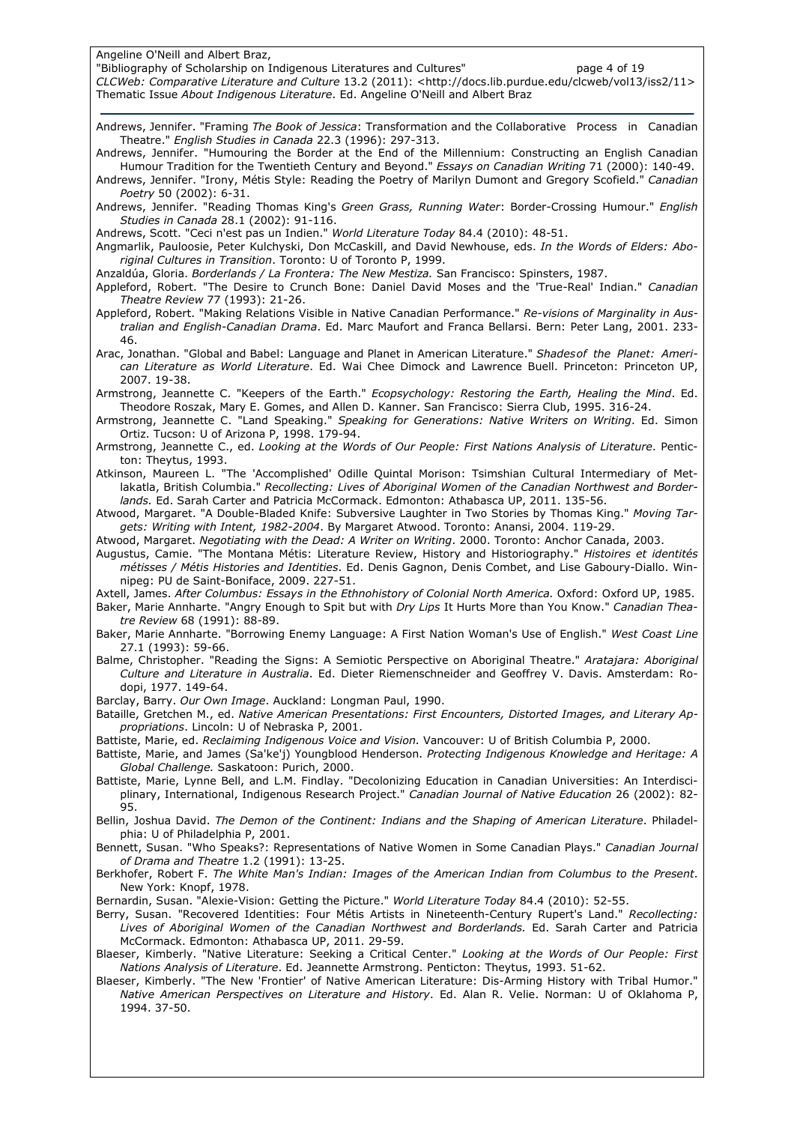"Bibliography of Scholarship on Indigenous Literatures and Cultures" page 4 of 19

CLCWeb: Comparative Literature and Culture 13.2 (2011): <http://docs.lib.purdue.edu/clcweb/vol13/iss2/11> Thematic Issue About Indigenous Literature. Ed. Angeline O'Neill and Albert Braz

Andrews, Jennifer. "Framing The Book of Jessica: Transformation and the Collaborative Process in Canadian Theatre." English Studies in Canada 22.3 (1996): 297-313.

Andrews, Jennifer. "Humouring the Border at the End of the Millennium: Constructing an English Canadian Humour Tradition for the Twentieth Century and Beyond." Essays on Canadian Writing 71 (2000): 140-49.

Andrews, Jennifer. "Irony, Métis Style: Reading the Poetry of Marilyn Dumont and Gregory Scofield." Canadian Poetry 50 (2002): 6-31.

Andrews, Jennifer. "Reading Thomas King's Green Grass, Running Water: Border-Crossing Humour." English Studies in Canada 28.1 (2002): 91-116.

Andrews, Scott. "Ceci n'est pas un Indien." World Literature Today 84.4 (2010): 48-51.

Angmarlik, Pauloosie, Peter Kulchyski, Don McCaskill, and David Newhouse, eds. In the Words of Elders: Aboriginal Cultures in Transition. Toronto: U of Toronto P, 1999.

Anzaldúa, Gloria. Borderlands / La Frontera: The New Mestiza. San Francisco: Spinsters, 1987.

Appleford, Robert. "The Desire to Crunch Bone: Daniel David Moses and the 'True-Real' Indian." Canadian Theatre Review 77 (1993): 21-26.

- Appleford, Robert. "Making Relations Visible in Native Canadian Performance." Re-visions of Marginality in Australian and English-Canadian Drama. Ed. Marc Maufort and Franca Bellarsi. Bern: Peter Lang, 2001. 233- 46.
- Arac, Jonathan. "Global and Babel: Language and Planet in American Literature." Shades of the Planet: American Literature as World Literature. Ed. Wai Chee Dimock and Lawrence Buell. Princeton: Princeton UP, 2007. 19-38.

Armstrong, Jeannette C. "Keepers of the Earth." Ecopsychology: Restoring the Earth, Healing the Mind. Ed. Theodore Roszak, Mary E. Gomes, and Allen D. Kanner. San Francisco: Sierra Club, 1995. 316-24.

- Armstrong, Jeannette C. "Land Speaking." Speaking for Generations: Native Writers on Writing. Ed. Simon Ortiz. Tucson: U of Arizona P, 1998. 179-94.
- Armstrong, Jeannette C., ed. Looking at the Words of Our People: First Nations Analysis of Literature. Penticton: Theytus, 1993.
- Atkinson, Maureen L. "The 'Accomplished' Odille Quintal Morison: Tsimshian Cultural Intermediary of Metlakatla, British Columbia." Recollecting: Lives of Aboriginal Women of the Canadian Northwest and Borderlands. Ed. Sarah Carter and Patricia McCormack. Edmonton: Athabasca UP, 2011. 135-56.
- Atwood, Margaret. "A Double-Bladed Knife: Subversive Laughter in Two Stories by Thomas King." Moving Targets: Writing with Intent, 1982-2004. By Margaret Atwood. Toronto: Anansi, 2004. 119-29.

Atwood, Margaret. Negotiating with the Dead: A Writer on Writing. 2000. Toronto: Anchor Canada, 2003.

Augustus, Camie. "The Montana Métis: Literature Review, History and Historiography." Histoires et identités métisses / Métis Histories and Identities. Ed. Denis Gagnon, Denis Combet, and Lise Gaboury-Diallo. Winnipeg: PU de Saint-Boniface, 2009. 227-51.

Axtell, James. After Columbus: Essays in the Ethnohistory of Colonial North America. Oxford: Oxford UP, 1985.

Baker, Marie Annharte. "Angry Enough to Spit but with Dry Lips It Hurts More than You Know." Canadian Theatre Review 68 (1991): 88-89.

Balme, Christopher. "Reading the Signs: A Semiotic Perspective on Aboriginal Theatre." Aratajara: Aboriginal Culture and Literature in Australia. Ed. Dieter Riemenschneider and Geoffrey V. Davis. Amsterdam: Rodopi, 1977. 149-64.

Barclay, Barry. Our Own Image. Auckland: Longman Paul, 1990.

Bataille, Gretchen M., ed. Native American Presentations: First Encounters, Distorted Images, and Literary Appropriations. Lincoln: U of Nebraska P, 2001.

Battiste, Marie, ed. Reclaiming Indigenous Voice and Vision. Vancouver: U of British Columbia P, 2000.

- Battiste, Marie, and James (Sa'ke'i) Youngblood Henderson. Protecting Indigenous Knowledge and Heritage: A Global Challenge. Saskatoon: Purich, 2000.
- Battiste, Marie, Lynne Bell, and L.M. Findlay. "Decolonizing Education in Canadian Universities: An Interdisciplinary, International, Indigenous Research Project." Canadian Journal of Native Education 26 (2002): 82-95.

Bellin, Joshua David. The Demon of the Continent: Indians and the Shaping of American Literature. Philadelphia: U of Philadelphia P, 2001.

Bennett, Susan. "Who Speaks?: Representations of Native Women in Some Canadian Plays." Canadian Journal of Drama and Theatre 1.2 (1991): 13-25.

Berkhofer, Robert F. The White Man's Indian: Images of the American Indian from Columbus to the Present. New York: Knopf, 1978.

Bernardin, Susan. "Alexie-Vision: Getting the Picture." World Literature Today 84.4 (2010): 52-55.

Berry, Susan. "Recovered Identities: Four Métis Artists in Nineteenth-Century Rupert's Land." Recollecting: Lives of Aboriginal Women of the Canadian Northwest and Borderlands. Ed. Sarah Carter and Patricia McCormack. Edmonton: Athabasca UP, 2011. 29-59.

Blaeser, Kimberly. "Native Literature: Seeking a Critical Center." Looking at the Words of Our People: First Nations Analysis of Literature. Ed. Jeannette Armstrong. Penticton: Theytus, 1993. 51-62.

Blaeser, Kimberly. "The New 'Frontier' of Native American Literature: Dis-Arming History with Tribal Humor." Native American Perspectives on Literature and History. Ed. Alan R. Velie. Norman: U of Oklahoma P, 1994. 37-50.

Baker, Marie Annharte. "Borrowing Enemy Language: A First Nation Woman's Use of English." West Coast Line 27.1 (1993): 59-66.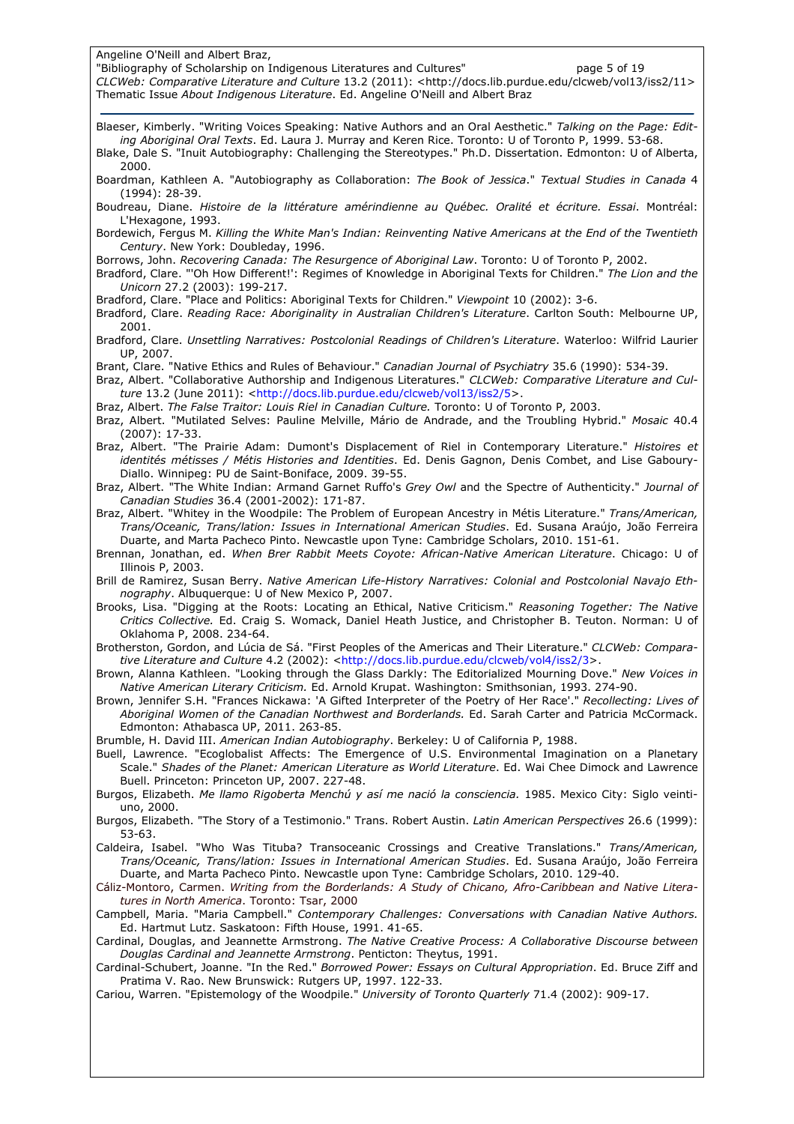Angeline O'Neill and Albert Braz, "Bibliography of Scholarship on Indigenous Literatures and Cultures" page 5 of 19 CLCWeb: Comparative Literature and Culture 13.2 (2011): <http://docs.lib.purdue.edu/clcweb/vol13/iss2/11> Thematic Issue About Indigenous Literature. Ed. Angeline O'Neill and Albert Braz Blaeser, Kimberly. "Writing Voices Speaking: Native Authors and an Oral Aesthetic." Talking on the Page: Editing Aboriginal Oral Texts. Ed. Laura J. Murray and Keren Rice. Toronto: U of Toronto P, 1999. 53-68. Blake, Dale S. "Inuit Autobiography: Challenging the Stereotypes." Ph.D. Dissertation. Edmonton: U of Alberta, 2000. Boardman, Kathleen A. "Autobiography as Collaboration: The Book of Jessica." Textual Studies in Canada 4 (1994): 28-39. Boudreau, Diane. Histoire de la littérature amérindienne au Québec. Oralité et écriture. Essai. Montréal: L'Hexagone, 1993. Bordewich, Fergus M. Killing the White Man's Indian: Reinventing Native Americans at the End of the Twentieth Century. New York: Doubleday, 1996. Borrows, John. Recovering Canada: The Resurgence of Aboriginal Law. Toronto: U of Toronto P, 2002. Bradford, Clare. "'Oh How Different!': Regimes of Knowledge in Aboriginal Texts for Children." The Lion and the Unicorn 27.2 (2003): 199-217. Bradford, Clare. "Place and Politics: Aboriginal Texts for Children." Viewpoint 10 (2002): 3-6. Bradford, Clare. Reading Race: Aboriginality in Australian Children's Literature. Carlton South: Melbourne UP, 2001. Bradford, Clare. Unsettling Narratives: Postcolonial Readings of Children's Literature. Waterloo: Wilfrid Laurier UP, 2007. Brant, Clare. "Native Ethics and Rules of Behaviour." Canadian Journal of Psychiatry 35.6 (1990): 534-39. Braz, Albert. "Collaborative Authorship and Indigenous Literatures." CLCWeb: Comparative Literature and Culture 13.2 (June 2011): <http://docs.lib.purdue.edu/clcweb/vol13/iss2/5>. Braz, Albert. The False Traitor: Louis Riel in Canadian Culture. Toronto: U of Toronto P, 2003. Braz, Albert. "Mutilated Selves: Pauline Melville, Mário de Andrade, and the Troubling Hybrid." Mosaic 40.4 (2007): 17-33. Braz, Albert. "The Prairie Adam: Dumont's Displacement of Riel in Contemporary Literature." Histoires et identités métisses / Métis Histories and Identities. Ed. Denis Gagnon, Denis Combet, and Lise Gaboury-Diallo. Winnipeg: PU de Saint-Boniface, 2009. 39-55. Braz, Albert. "The White Indian: Armand Garnet Ruffo's Grey Owl and the Spectre of Authenticity." Journal of Canadian Studies 36.4 (2001-2002): 171-87. Braz, Albert. "Whitey in the Woodpile: The Problem of European Ancestry in Métis Literature." Trans/American, Trans/Oceanic, Trans/lation: Issues in International American Studies. Ed. Susana Araújo, João Ferreira Duarte, and Marta Pacheco Pinto. Newcastle upon Tyne: Cambridge Scholars, 2010. 151-61. Brennan, Jonathan, ed. When Brer Rabbit Meets Coyote: African-Native American Literature. Chicago: U of Illinois P, 2003. Brill de Ramirez, Susan Berry. Native American Life-History Narratives: Colonial and Postcolonial Navajo Ethnography. Albuquerque: U of New Mexico P, 2007. Brooks, Lisa. "Digging at the Roots: Locating an Ethical, Native Criticism." Reasoning Together: The Native Critics Collective. Ed. Craig S. Womack, Daniel Heath Justice, and Christopher B. Teuton. Norman: U of Oklahoma P, 2008. 234-64. Brotherston, Gordon, and Lúcia de Sá. "First Peoples of the Americas and Their Literature." CLCWeb: Comparative Literature and Culture 4.2 (2002): <http://docs.lib.purdue.edu/clcweb/vol4/iss2/3>. Brown, Alanna Kathleen. "Looking through the Glass Darkly: The Editorialized Mourning Dove." New Voices in Native American Literary Criticism. Ed. Arnold Krupat. Washington: Smithsonian, 1993. 274-90. Brown, Jennifer S.H. "Frances Nickawa: 'A Gifted Interpreter of the Poetry of Her Race'." Recollecting: Lives of Aboriginal Women of the Canadian Northwest and Borderlands. Ed. Sarah Carter and Patricia McCormack. Edmonton: Athabasca UP, 2011. 263-85. Brumble, H. David III. American Indian Autobiography. Berkeley: U of California P, 1988. Buell, Lawrence. "Ecoglobalist Affects: The Emergence of U.S. Environmental Imagination on a Planetary Scale." Shades of the Planet: American Literature as World Literature. Ed. Wai Chee Dimock and Lawrence Buell. Princeton: Princeton UP, 2007. 227-48. Burgos, Elizabeth. Me llamo Rigoberta Menchú y así me nació la consciencia. 1985. Mexico City: Siglo veintiuno, 2000. Burgos, Elizabeth. "The Story of a Testimonio." Trans. Robert Austin. Latin American Perspectives 26.6 (1999): 53-63. Caldeira, Isabel. "Who Was Tituba? Transoceanic Crossings and Creative Translations." Trans/American, Trans/Oceanic, Trans/lation: Issues in International American Studies. Ed. Susana Araújo, João Ferreira Duarte, and Marta Pacheco Pinto. Newcastle upon Tyne: Cambridge Scholars, 2010. 129-40. Cáliz-Montoro, Carmen. Writing from the Borderlands: A Study of Chicano, Afro-Caribbean and Native Literatures in North America. Toronto: Tsar, 2000 Campbell, Maria. "Maria Campbell." Contemporary Challenges: Conversations with Canadian Native Authors. Ed. Hartmut Lutz. Saskatoon: Fifth House, 1991. 41-65. Cardinal, Douglas, and Jeannette Armstrong. The Native Creative Process: A Collaborative Discourse between Douglas Cardinal and Jeannette Armstrong. Penticton: Theytus, 1991. Cardinal-Schubert, Joanne. "In the Red." Borrowed Power: Essays on Cultural Appropriation. Ed. Bruce Ziff and Pratima V. Rao. New Brunswick: Rutgers UP, 1997. 122-33. Cariou, Warren. "Epistemology of the Woodpile." University of Toronto Quarterly 71.4 (2002): 909-17.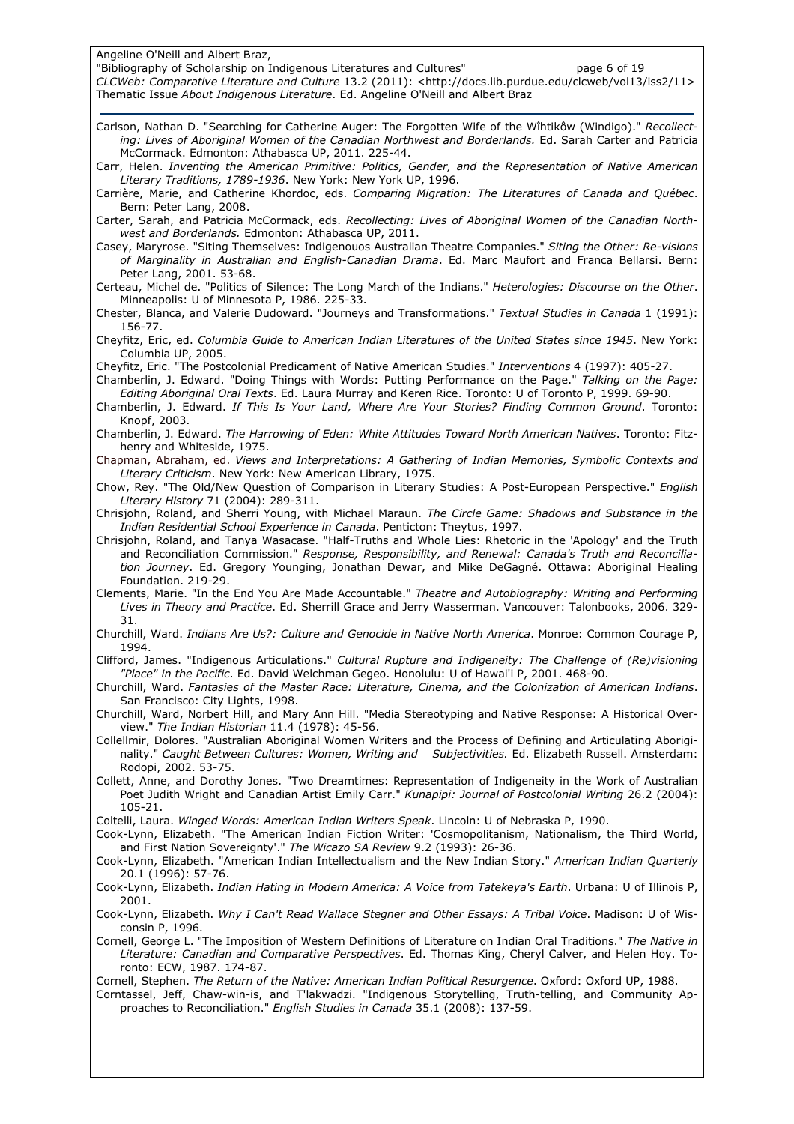"Bibliography of Scholarship on Indigenous Literatures and Cultures" page 6 of 19

CLCWeb: Comparative Literature and Culture 13.2 (2011): <http://docs.lib.purdue.edu/clcweb/vol13/iss2/11> Thematic Issue About Indigenous Literature. Ed. Angeline O'Neill and Albert Braz

Carlson, Nathan D. "Searching for Catherine Auger: The Forgotten Wife of the Wîhtikôw (Windigo)." Recollecting: Lives of Aboriginal Women of the Canadian Northwest and Borderlands. Ed. Sarah Carter and Patricia McCormack. Edmonton: Athabasca UP, 2011. 225-44.

Carr, Helen. Inventing the American Primitive: Politics, Gender, and the Representation of Native American Literary Traditions, 1789-1936. New York: New York UP, 1996.

Carrière, Marie, and Catherine Khordoc, eds. Comparing Migration: The Literatures of Canada and Québec. Bern: Peter Lang, 2008.

Carter, Sarah, and Patricia McCormack, eds. Recollecting: Lives of Aboriginal Women of the Canadian Northwest and Borderlands. Edmonton: Athabasca UP, 2011.

Casey, Maryrose. "Siting Themselves: Indigenouos Australian Theatre Companies." Siting the Other: Re-visions of Marginality in Australian and English-Canadian Drama. Ed. Marc Maufort and Franca Bellarsi. Bern: Peter Lang, 2001. 53-68.

Certeau, Michel de. "Politics of Silence: The Long March of the Indians." Heterologies: Discourse on the Other. Minneapolis: U of Minnesota P, 1986. 225-33.

Chester, Blanca, and Valerie Dudoward. "Journeys and Transformations." Textual Studies in Canada 1 (1991): 156-77.

Cheyfitz, Eric, ed. Columbia Guide to American Indian Literatures of the United States since 1945. New York: Columbia UP, 2005.

Cheyfitz, Eric. "The Postcolonial Predicament of Native American Studies." Interventions 4 (1997): 405-27.

Chamberlin, J. Edward. "Doing Things with Words: Putting Performance on the Page." Talking on the Page: Editing Aboriginal Oral Texts. Ed. Laura Murray and Keren Rice. Toronto: U of Toronto P, 1999. 69-90.

- Chamberlin, J. Edward. If This Is Your Land, Where Are Your Stories? Finding Common Ground. Toronto: Knopf, 2003.
- Chamberlin, J. Edward. The Harrowing of Eden: White Attitudes Toward North American Natives. Toronto: Fitzhenry and Whiteside, 1975.

Chapman, Abraham, ed. Views and Interpretations: A Gathering of Indian Memories, Symbolic Contexts and Literary Criticism. New York: New American Library, 1975.

Chow, Rey. "The Old/New Question of Comparison in Literary Studies: A Post-European Perspective." English Literary History 71 (2004): 289-311.

Chrisjohn, Roland, and Sherri Young, with Michael Maraun. The Circle Game: Shadows and Substance in the Indian Residential School Experience in Canada. Penticton: Theytus, 1997.

Chrisjohn, Roland, and Tanya Wasacase. "Half-Truths and Whole Lies: Rhetoric in the 'Apology' and the Truth and Reconciliation Commission." Response, Responsibility, and Renewal: Canada's Truth and Reconciliation Journey. Ed. Gregory Younging, Jonathan Dewar, and Mike DeGagné. Ottawa: Aboriginal Healing Foundation. 219-29.

Clements, Marie. "In the End You Are Made Accountable." Theatre and Autobiography: Writing and Performing Lives in Theory and Practice. Ed. Sherrill Grace and Jerry Wasserman. Vancouver: Talonbooks, 2006. 329-31.

Churchill, Ward. Indians Are Us?: Culture and Genocide in Native North America. Monroe: Common Courage P, 1994.

Clifford, James. "Indigenous Articulations." Cultural Rupture and Indigeneity: The Challenge of (Re)visioning "Place" in the Pacific. Ed. David Welchman Gegeo. Honolulu: U of Hawai'i P, 2001. 468-90.

Churchill, Ward. Fantasies of the Master Race: Literature, Cinema, and the Colonization of American Indians. San Francisco: City Lights, 1998.

Churchill, Ward, Norbert Hill, and Mary Ann Hill. "Media Stereotyping and Native Response: A Historical Overview." The Indian Historian 11.4 (1978): 45-56.

Collellmir, Dolores. "Australian Aboriginal Women Writers and the Process of Defining and Articulating Aboriginality." Caught Between Cultures: Women, Writing and Subjectivities. Ed. Elizabeth Russell. Amsterdam: Rodopi, 2002. 53-75.

Collett, Anne, and Dorothy Jones. "Two Dreamtimes: Representation of Indigeneity in the Work of Australian Poet Judith Wright and Canadian Artist Emily Carr." Kunapipi: Journal of Postcolonial Writing 26.2 (2004): 105-21.

Coltelli, Laura. Winged Words: American Indian Writers Speak. Lincoln: U of Nebraska P, 1990.

Cook-Lynn, Elizabeth. "The American Indian Fiction Writer: 'Cosmopolitanism, Nationalism, the Third World, and First Nation Sovereignty'." The Wicazo SA Review 9.2 (1993): 26-36.

Cook-Lynn, Elizabeth. "American Indian Intellectualism and the New Indian Story." American Indian Quarterly 20.1 (1996): 57-76.

Cook-Lynn, Elizabeth. Indian Hating in Modern America: A Voice from Tatekeya's Earth. Urbana: U of Illinois P, 2001.

Cook-Lynn, Elizabeth. Why I Can't Read Wallace Stegner and Other Essays: A Tribal Voice. Madison: U of Wisconsin P, 1996.

Cornell, George L. "The Imposition of Western Definitions of Literature on Indian Oral Traditions." The Native in Literature: Canadian and Comparative Perspectives. Ed. Thomas King, Cheryl Calver, and Helen Hoy. Toronto: ECW, 1987. 174-87.

Cornell, Stephen. The Return of the Native: American Indian Political Resurgence. Oxford: Oxford UP, 1988.

Corntassel, Jeff, Chaw-win-is, and T'lakwadzi. "Indigenous Storytelling, Truth-telling, and Community Approaches to Reconciliation." English Studies in Canada 35.1 (2008): 137-59.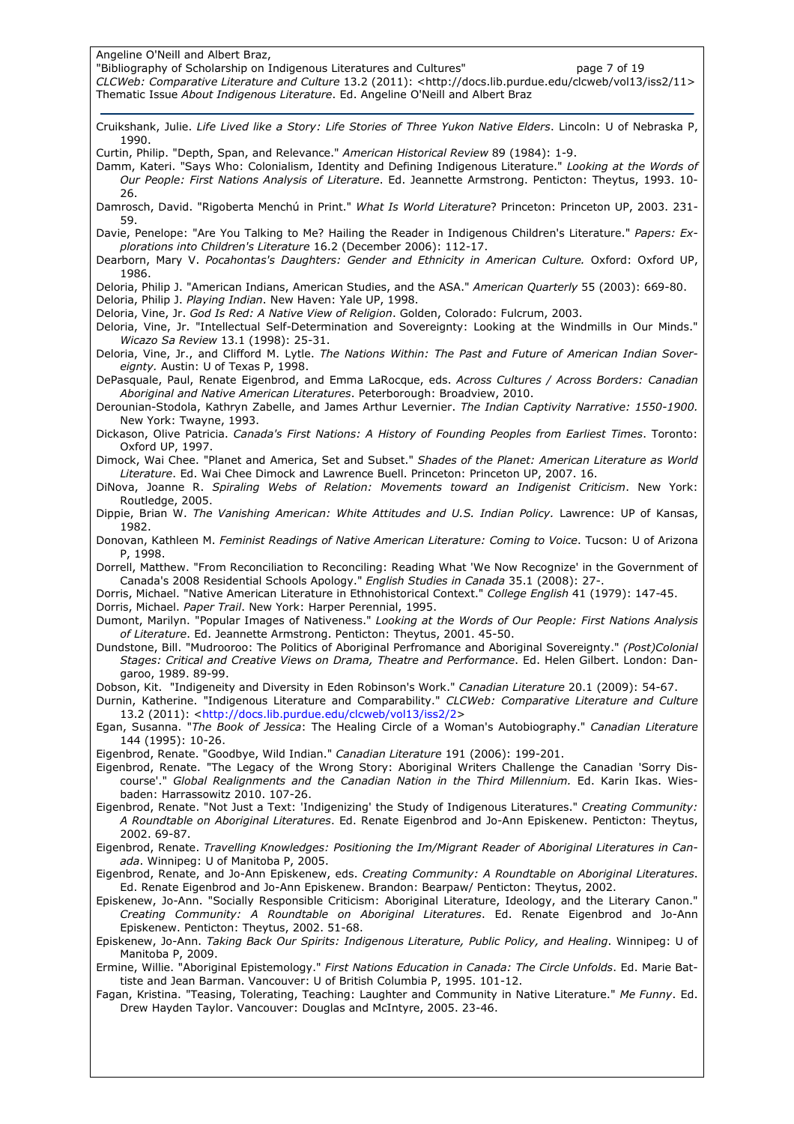"Bibliography of Scholarship on Indigenous Literatures and Cultures" page 7 of 19

CLCWeb: Comparative Literature and Culture 13.2 (2011): <http://docs.lib.purdue.edu/clcweb/vol13/iss2/11> Thematic Issue About Indigenous Literature. Ed. Angeline O'Neill and Albert Braz

Cruikshank, Julie. Life Lived like a Story: Life Stories of Three Yukon Native Elders. Lincoln: U of Nebraska P, 1990.

Curtin, Philip. "Depth, Span, and Relevance." American Historical Review 89 (1984): 1-9.

Damm, Kateri. "Says Who: Colonialism, Identity and Defining Indigenous Literature." Looking at the Words of Our People: First Nations Analysis of Literature. Ed. Jeannette Armstrong. Penticton: Theytus, 1993. 10- 26.

Damrosch, David. "Rigoberta Menchú in Print." What Is World Literature? Princeton: Princeton UP, 2003. 231- 59.

Davie, Penelope: "Are You Talking to Me? Hailing the Reader in Indigenous Children's Literature." Papers: Explorations into Children's Literature 16.2 (December 2006): 112-17.

Dearborn, Mary V. Pocahontas's Daughters: Gender and Ethnicity in American Culture. Oxford: Oxford UP, 1986.

Deloria, Philip J. "American Indians, American Studies, and the ASA." American Quarterly 55 (2003): 669-80.

Deloria, Philip J. Playing Indian. New Haven: Yale UP, 1998.

Deloria, Vine, Jr. God Is Red: A Native View of Religion. Golden, Colorado: Fulcrum, 2003.

Deloria, Vine, Jr. "Intellectual Self-Determination and Sovereignty: Looking at the Windmills in Our Minds." Wicazo Sa Review 13.1 (1998): 25-31.

Deloria, Vine, Jr., and Clifford M. Lytle. The Nations Within: The Past and Future of American Indian Sovereignty. Austin: U of Texas P, 1998.

DePasquale, Paul, Renate Eigenbrod, and Emma LaRocque, eds. Across Cultures / Across Borders: Canadian Aboriginal and Native American Literatures. Peterborough: Broadview, 2010.

Derounian-Stodola, Kathryn Zabelle, and James Arthur Levernier. The Indian Captivity Narrative: 1550-1900. New York: Twayne, 1993.

Dickason, Olive Patricia. Canada's First Nations: A History of Founding Peoples from Earliest Times. Toronto: Oxford UP, 1997.

Dimock, Wai Chee. "Planet and America, Set and Subset." Shades of the Planet: American Literature as World Literature. Ed. Wai Chee Dimock and Lawrence Buell. Princeton: Princeton UP, 2007. 16.

DiNova, Joanne R. Spiraling Webs of Relation: Movements toward an Indigenist Criticism. New York: Routledge, 2005.

Dippie, Brian W. The Vanishing American: White Attitudes and U.S. Indian Policy. Lawrence: UP of Kansas, 1982.

Donovan, Kathleen M. Feminist Readings of Native American Literature: Coming to Voice. Tucson: U of Arizona P, 1998.

Dorrell, Matthew. "From Reconciliation to Reconciling: Reading What 'We Now Recognize' in the Government of Canada's 2008 Residential Schools Apology." English Studies in Canada 35.1 (2008): 27-.

Dorris, Michael. "Native American Literature in Ethnohistorical Context." College English 41 (1979): 147-45.

Dorris, Michael. Paper Trail. New York: Harper Perennial, 1995.

Dumont, Marilyn. "Popular Images of Nativeness." Looking at the Words of Our People: First Nations Analysis of Literature. Ed. Jeannette Armstrong. Penticton: Theytus, 2001. 45-50.

Dundstone, Bill. "Mudrooroo: The Politics of Aboriginal Perfromance and Aboriginal Sovereignty." (Post)Colonial Stages: Critical and Creative Views on Drama, Theatre and Performance. Ed. Helen Gilbert. London: Dangaroo, 1989. 89-99.

Dobson, Kit. "Indigeneity and Diversity in Eden Robinson's Work." Canadian Literature 20.1 (2009): 54-67.

Durnin, Katherine. "Indigenous Literature and Comparability." CLCWeb: Comparative Literature and Culture 13.2 (2011): <http://docs.lib.purdue.edu/clcweb/vol13/iss2/2>

Egan, Susanna. "The Book of Jessica: The Healing Circle of a Woman's Autobiography." Canadian Literature 144 (1995): 10-26.

Eigenbrod, Renate. "Goodbye, Wild Indian." Canadian Literature 191 (2006): 199-201.

Eigenbrod, Renate. "The Legacy of the Wrong Story: Aboriginal Writers Challenge the Canadian 'Sorry Discourse'." Global Realignments and the Canadian Nation in the Third Millennium. Ed. Karin Ikas. Wiesbaden: Harrassowitz 2010. 107-26.

Eigenbrod, Renate. "Not Just a Text: 'Indigenizing' the Study of Indigenous Literatures." Creating Community: A Roundtable on Aboriginal Literatures. Ed. Renate Eigenbrod and Jo-Ann Episkenew. Penticton: Theytus, 2002. 69-87.

Eigenbrod, Renate. Travelling Knowledges: Positioning the Im/Migrant Reader of Aboriginal Literatures in Canada. Winnipeg: U of Manitoba P, 2005.

Eigenbrod, Renate, and Jo-Ann Episkenew, eds. Creating Community: A Roundtable on Aboriginal Literatures. Ed. Renate Eigenbrod and Jo-Ann Episkenew. Brandon: Bearpaw/ Penticton: Theytus, 2002.

Episkenew, Jo-Ann. "Socially Responsible Criticism: Aboriginal Literature, Ideology, and the Literary Canon." Creating Community: A Roundtable on Aboriginal Literatures. Ed. Renate Eigenbrod and Jo-Ann Episkenew. Penticton: Theytus, 2002. 51-68.

Episkenew, Jo-Ann. Taking Back Our Spirits: Indigenous Literature, Public Policy, and Healing. Winnipeg: U of Manitoba P, 2009.

Ermine, Willie. "Aboriginal Epistemology." First Nations Education in Canada: The Circle Unfolds. Ed. Marie Battiste and Jean Barman. Vancouver: U of British Columbia P, 1995. 101-12.

Fagan, Kristina. "Teasing, Tolerating, Teaching: Laughter and Community in Native Literature." Me Funny. Ed. Drew Hayden Taylor. Vancouver: Douglas and McIntyre, 2005. 23-46.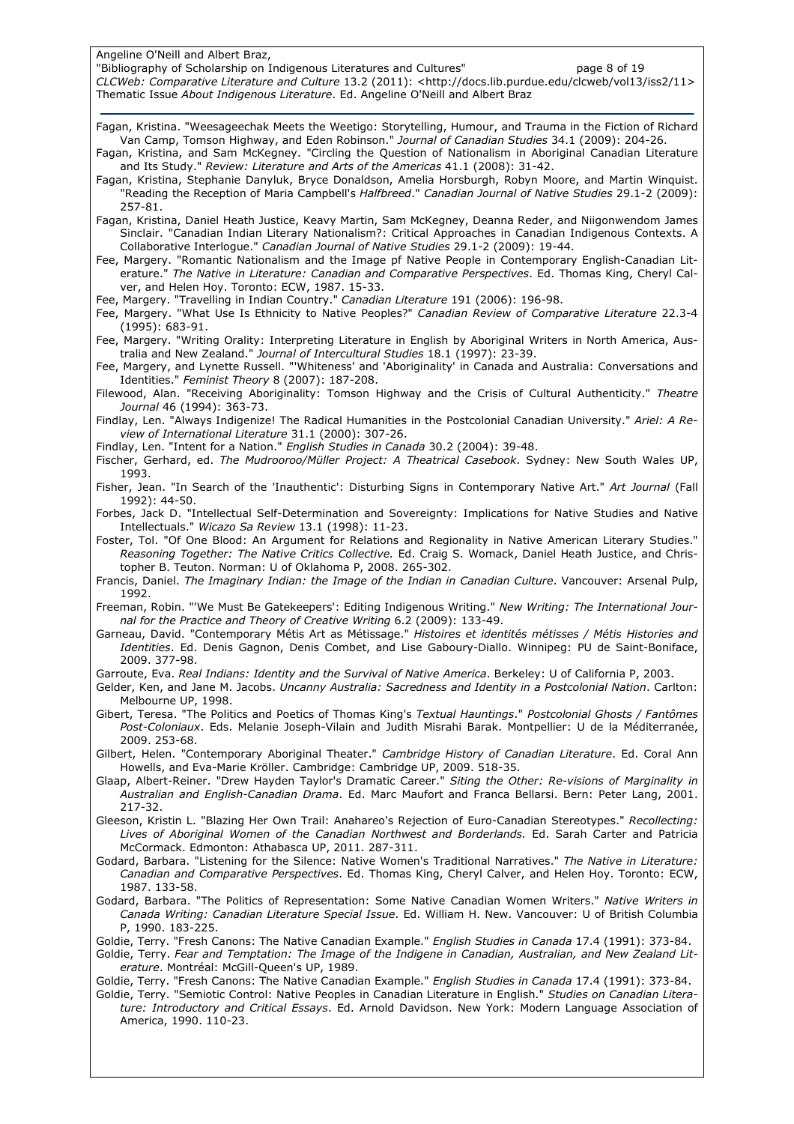"Bibliography of Scholarship on Indigenous Literatures and Cultures" page 8 of 19

CLCWeb: Comparative Literature and Culture 13.2 (2011): <http://docs.lib.purdue.edu/clcweb/vol13/iss2/11> Thematic Issue About Indigenous Literature. Ed. Angeline O'Neill and Albert Braz

Fagan, Kristina. "Weesageechak Meets the Weetigo: Storytelling, Humour, and Trauma in the Fiction of Richard Van Camp, Tomson Highway, and Eden Robinson." Journal of Canadian Studies 34.1 (2009): 204-26.

- Fagan, Kristina, and Sam McKegney. "Circling the Question of Nationalism in Aboriginal Canadian Literature and Its Study." Review: Literature and Arts of the Americas 41.1 (2008): 31-42.
- Fagan, Kristina, Stephanie Danyluk, Bryce Donaldson, Amelia Horsburgh, Robyn Moore, and Martin Winquist. "Reading the Reception of Maria Campbell's Halfbreed." Canadian Journal of Native Studies 29.1-2 (2009): 257-81.
- Fagan, Kristina, Daniel Heath Justice, Keavy Martin, Sam McKegney, Deanna Reder, and Niigonwendom James Sinclair. "Canadian Indian Literary Nationalism?: Critical Approaches in Canadian Indigenous Contexts. A Collaborative Interlogue." Canadian Journal of Native Studies 29.1-2 (2009): 19-44.
- Fee, Margery. "Romantic Nationalism and the Image pf Native People in Contemporary English-Canadian Literature." The Native in Literature: Canadian and Comparative Perspectives. Ed. Thomas King, Cheryl Calver, and Helen Hoy. Toronto: ECW, 1987. 15-33.
- Fee, Margery. "Travelling in Indian Country." Canadian Literature 191 (2006): 196-98.
- Fee, Margery. "What Use Is Ethnicity to Native Peoples?" Canadian Review of Comparative Literature 22.3-4 (1995): 683-91.
- Fee, Margery. "Writing Orality: Interpreting Literature in English by Aboriginal Writers in North America, Australia and New Zealand." Journal of Intercultural Studies 18.1 (1997): 23-39.
- Fee, Margery, and Lynette Russell. "'Whiteness' and 'Aboriginality' in Canada and Australia: Conversations and Identities." Feminist Theory 8 (2007): 187-208.
- Filewood, Alan. "Receiving Aboriginality: Tomson Highway and the Crisis of Cultural Authenticity." Theatre Journal 46 (1994): 363-73.
- Findlay, Len. "Always Indigenize! The Radical Humanities in the Postcolonial Canadian University." Ariel: A Review of International Literature 31.1 (2000): 307-26.
- Findlay, Len. "Intent for a Nation." English Studies in Canada 30.2 (2004): 39-48.
- Fischer, Gerhard, ed. The Mudrooroo/Müller Project: A Theatrical Casebook. Sydney: New South Wales UP, 1993.
- Fisher, Jean. "In Search of the 'Inauthentic': Disturbing Signs in Contemporary Native Art." Art Journal (Fall 1992): 44-50.
- Forbes, Jack D. "Intellectual Self-Determination and Sovereignty: Implications for Native Studies and Native Intellectuals." Wicazo Sa Review 13.1 (1998): 11-23.
- Foster, Tol. "Of One Blood: An Argument for Relations and Regionality in Native American Literary Studies." Reasoning Together: The Native Critics Collective. Ed. Craig S. Womack, Daniel Heath Justice, and Christopher B. Teuton. Norman: U of Oklahoma P, 2008. 265-302.
- Francis, Daniel. The Imaginary Indian: the Image of the Indian in Canadian Culture. Vancouver: Arsenal Pulp, 1992.
- Freeman, Robin. "'We Must Be Gatekeepers': Editing Indigenous Writing." New Writing: The International Journal for the Practice and Theory of Creative Writing 6.2 (2009): 133-49.
- Garneau, David. "Contemporary Métis Art as Métissage." Histoires et identités métisses / Métis Histories and Identities. Ed. Denis Gagnon, Denis Combet, and Lise Gaboury-Diallo. Winnipeg: PU de Saint-Boniface, 2009. 377-98.
- Garroute, Eva. Real Indians: Identity and the Survival of Native America. Berkeley: U of California P, 2003.
- Gelder, Ken, and Jane M. Jacobs. Uncanny Australia: Sacredness and Identity in a Postcolonial Nation. Carlton: Melbourne UP, 1998.
- Gibert, Teresa. "The Politics and Poetics of Thomas King's Textual Hauntings." Postcolonial Ghosts / Fantômes Post-Coloniaux. Eds. Melanie Joseph-Vilain and Judith Misrahi Barak. Montpellier: U de la Méditerranée, 2009. 253-68.
- Gilbert, Helen. "Contemporary Aboriginal Theater." Cambridge History of Canadian Literature. Ed. Coral Ann Howells, and Eva-Marie Kröller. Cambridge: Cambridge UP, 2009. 518-35.
- Glaap, Albert-Reiner. "Drew Hayden Taylor's Dramatic Career." Siting the Other: Re-visions of Marginality in Australian and English-Canadian Drama. Ed. Marc Maufort and Franca Bellarsi. Bern: Peter Lang, 2001. 217-32.
- Gleeson, Kristin L. "Blazing Her Own Trail: Anahareo's Rejection of Euro-Canadian Stereotypes." Recollecting: Lives of Aboriginal Women of the Canadian Northwest and Borderlands. Ed. Sarah Carter and Patricia McCormack. Edmonton: Athabasca UP, 2011. 287-311.
- Godard, Barbara. "Listening for the Silence: Native Women's Traditional Narratives." The Native in Literature: Canadian and Comparative Perspectives. Ed. Thomas King, Cheryl Calver, and Helen Hoy. Toronto: ECW, 1987. 133-58.
- Godard, Barbara. "The Politics of Representation: Some Native Canadian Women Writers." Native Writers in Canada Writing: Canadian Literature Special Issue. Ed. William H. New. Vancouver: U of British Columbia P, 1990. 183-225.
- Goldie, Terry. "Fresh Canons: The Native Canadian Example." English Studies in Canada 17.4 (1991): 373-84. Goldie, Terry. Fear and Temptation: The Image of the Indigene in Canadian, Australian, and New Zealand Literature. Montréal: McGill-Queen's UP, 1989.
- Goldie, Terry. "Fresh Canons: The Native Canadian Example." English Studies in Canada 17.4 (1991): 373-84.
- Goldie, Terry. "Semiotic Control: Native Peoples in Canadian Literature in English." Studies on Canadian Literature: Introductory and Critical Essays. Ed. Arnold Davidson. New York: Modern Language Association of America, 1990. 110-23.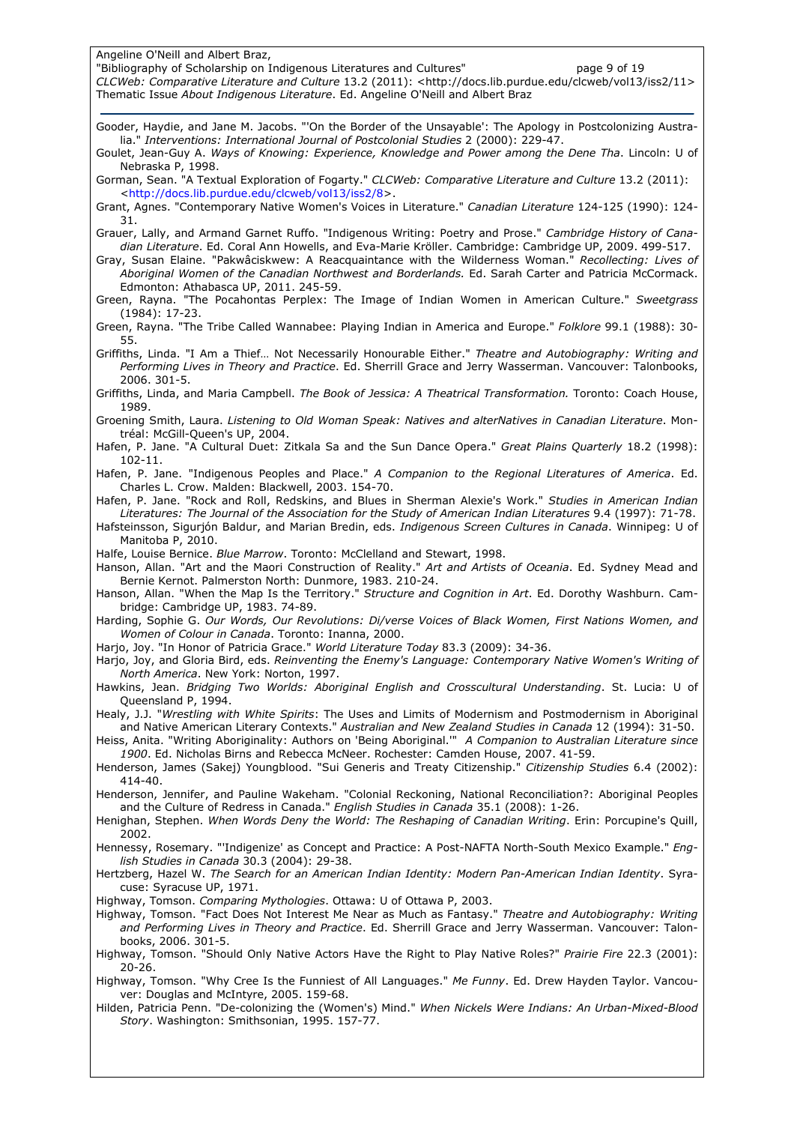Angeline O'Neill and Albert Braz, "Bibliography of Scholarship on Indigenous Literatures and Cultures" page 9 of 19 CLCWeb: Comparative Literature and Culture 13.2 (2011): <http://docs.lib.purdue.edu/clcweb/vol13/iss2/11> Thematic Issue About Indigenous Literature. Ed. Angeline O'Neill and Albert Braz Gooder, Haydie, and Jane M. Jacobs. "'On the Border of the Unsayable': The Apology in Postcolonizing Australia." Interventions: International Journal of Postcolonial Studies 2 (2000): 229-47. Goulet, Jean-Guy A. Ways of Knowing: Experience, Knowledge and Power among the Dene Tha. Lincoln: U of Nebraska P, 1998. Gorman, Sean. "A Textual Exploration of Fogarty." CLCWeb: Comparative Literature and Culture 13.2 (2011): <http://docs.lib.purdue.edu/clcweb/vol13/iss2/8>. Grant, Agnes. "Contemporary Native Women's Voices in Literature." Canadian Literature 124-125 (1990): 124- 31. Grauer, Lally, and Armand Garnet Ruffo. "Indigenous Writing: Poetry and Prose." Cambridge History of Canadian Literature. Ed. Coral Ann Howells, and Eva-Marie Kröller. Cambridge: Cambridge UP, 2009. 499-517. Gray, Susan Elaine. "Pakwâciskwew: A Reacquaintance with the Wilderness Woman." Recollecting: Lives of Aboriginal Women of the Canadian Northwest and Borderlands. Ed. Sarah Carter and Patricia McCormack. Edmonton: Athabasca UP, 2011. 245-59. Green, Rayna. "The Pocahontas Perplex: The Image of Indian Women in American Culture." Sweetgrass (1984): 17-23. Green, Rayna. "The Tribe Called Wannabee: Playing Indian in America and Europe." Folklore 99.1 (1988): 30-55. Griffiths, Linda. "I Am a Thief… Not Necessarily Honourable Either." Theatre and Autobiography: Writing and Performing Lives in Theory and Practice. Ed. Sherrill Grace and Jerry Wasserman. Vancouver: Talonbooks, 2006. 301-5. Griffiths, Linda, and Maria Campbell. The Book of Jessica: A Theatrical Transformation. Toronto: Coach House, 1989. Groening Smith, Laura. Listening to Old Woman Speak: Natives and alterNatives in Canadian Literature. Montréal: McGill-Queen's UP, 2004. Hafen, P. Jane. "A Cultural Duet: Zitkala Sa and the Sun Dance Opera." Great Plains Quarterly 18.2 (1998): 102-11. Hafen, P. Jane. "Indigenous Peoples and Place." A Companion to the Regional Literatures of America. Ed. Charles L. Crow. Malden: Blackwell, 2003. 154-70. Hafen, P. Jane. "Rock and Roll, Redskins, and Blues in Sherman Alexie's Work." Studies in American Indian Literatures: The Journal of the Association for the Study of American Indian Literatures 9.4 (1997): 71-78. Hafsteinsson, Sigurjón Baldur, and Marian Bredin, eds. Indigenous Screen Cultures in Canada. Winnipeg: U of Manitoba P, 2010. Halfe, Louise Bernice. Blue Marrow. Toronto: McClelland and Stewart, 1998. Hanson, Allan. "Art and the Maori Construction of Reality." Art and Artists of Oceania. Ed. Sydney Mead and Bernie Kernot. Palmerston North: Dunmore, 1983. 210-24. Hanson, Allan. "When the Map Is the Territory." Structure and Cognition in Art. Ed. Dorothy Washburn. Cambridge: Cambridge UP, 1983. 74-89. Harding, Sophie G. Our Words, Our Revolutions: Di/verse Voices of Black Women, First Nations Women, and Women of Colour in Canada. Toronto: Inanna, 2000. Harjo, Joy. "In Honor of Patricia Grace." World Literature Today 83.3 (2009): 34-36. Harjo, Joy, and Gloria Bird, eds. Reinventing the Enemy's Language: Contemporary Native Women's Writing of North America. New York: Norton, 1997. Hawkins, Jean. Bridging Two Worlds: Aboriginal English and Crosscultural Understanding. St. Lucia: U of Queensland P, 1994. Healy, J.J. "Wrestling with White Spirits: The Uses and Limits of Modernism and Postmodernism in Aboriginal and Native American Literary Contexts." Australian and New Zealand Studies in Canada 12 (1994): 31-50. Heiss, Anita. "Writing Aboriginality: Authors on 'Being Aboriginal." A Companion to Australian Literature since 1900. Ed. Nicholas Birns and Rebecca McNeer. Rochester: Camden House, 2007. 41-59. Henderson, James (Sakej) Youngblood. "Sui Generis and Treaty Citizenship." Citizenship Studies 6.4 (2002): 414-40. Henderson, Jennifer, and Pauline Wakeham. "Colonial Reckoning, National Reconciliation?: Aboriginal Peoples and the Culture of Redress in Canada." English Studies in Canada 35.1 (2008): 1-26. Henighan, Stephen. When Words Deny the World: The Reshaping of Canadian Writing. Erin: Porcupine's Quill, 2002. Hennessy, Rosemary. "'Indigenize' as Concept and Practice: A Post-NAFTA North-South Mexico Example." English Studies in Canada 30.3 (2004): 29-38. Hertzberg, Hazel W. The Search for an American Indian Identity: Modern Pan-American Indian Identity. Syracuse: Syracuse UP, 1971. Highway, Tomson. Comparing Mythologies. Ottawa: U of Ottawa P, 2003. Highway, Tomson. "Fact Does Not Interest Me Near as Much as Fantasy." Theatre and Autobiography: Writing and Performing Lives in Theory and Practice. Ed. Sherrill Grace and Jerry Wasserman. Vancouver: Talonbooks, 2006. 301-5. Highway, Tomson. "Should Only Native Actors Have the Right to Play Native Roles?" Prairie Fire 22.3 (2001): 20-26. Highway, Tomson. "Why Cree Is the Funniest of All Languages." Me Funny. Ed. Drew Hayden Taylor. Vancouver: Douglas and McIntyre, 2005. 159-68. Hilden, Patricia Penn. "De-colonizing the (Women's) Mind." When Nickels Were Indians: An Urban-Mixed-Blood Story. Washington: Smithsonian, 1995. 157-77.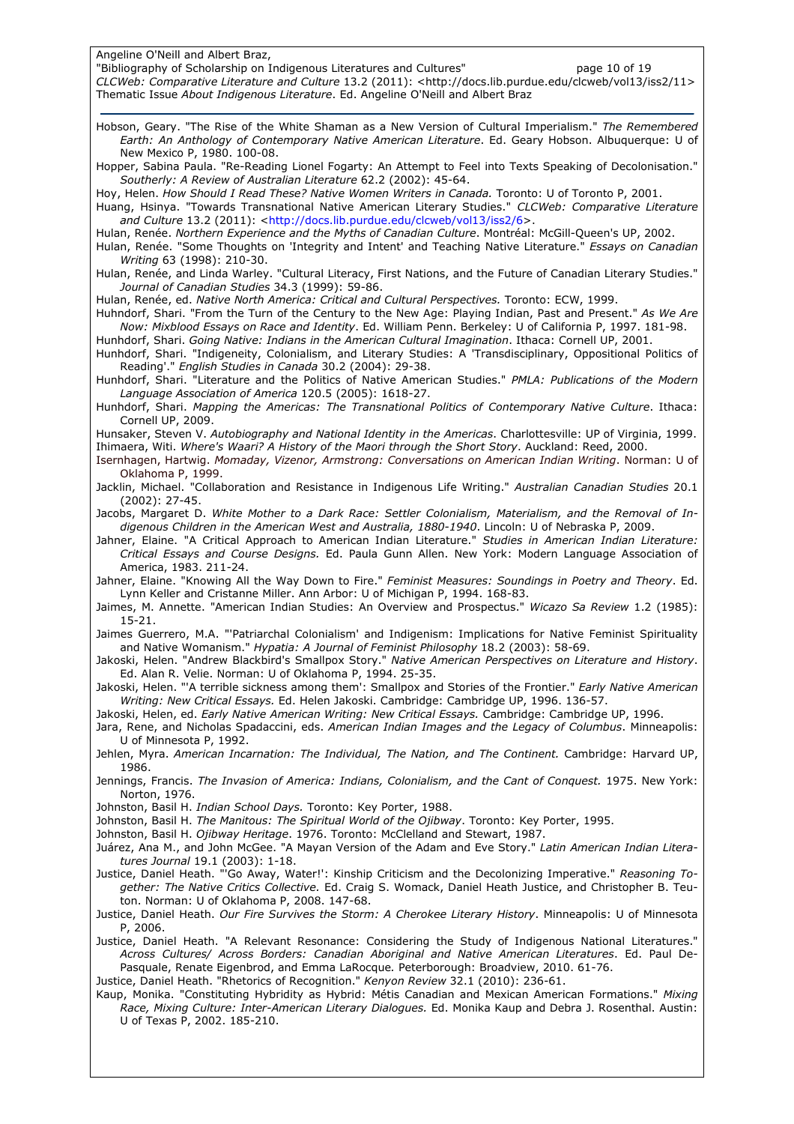"Bibliography of Scholarship on Indigenous Literatures and Cultures" page 10 of 19

CLCWeb: Comparative Literature and Culture 13.2 (2011): <http://docs.lib.purdue.edu/clcweb/vol13/iss2/11> Thematic Issue About Indigenous Literature. Ed. Angeline O'Neill and Albert Braz

Hobson, Geary. "The Rise of the White Shaman as a New Version of Cultural Imperialism." The Remembered Earth: An Anthology of Contemporary Native American Literature. Ed. Geary Hobson. Albuquerque: U of New Mexico P, 1980. 100-08.

Hopper, Sabina Paula. "Re-Reading Lionel Fogarty: An Attempt to Feel into Texts Speaking of Decolonisation." Southerly: A Review of Australian Literature 62.2 (2002): 45-64.

Hoy, Helen. How Should I Read These? Native Women Writers in Canada. Toronto: U of Toronto P, 2001.

Huang, Hsinya. "Towards Transnational Native American Literary Studies." CLCWeb: Comparative Literature and Culture 13.2 (2011): <http://docs.lib.purdue.edu/clcweb/vol13/iss2/6>.

Hulan, Renée. Northern Experience and the Myths of Canadian Culture. Montréal: McGill-Queen's UP, 2002.

Hulan, Renée. "Some Thoughts on 'Integrity and Intent' and Teaching Native Literature." Essays on Canadian Writing 63 (1998): 210-30.

Hulan, Renée, and Linda Warley. "Cultural Literacy, First Nations, and the Future of Canadian Literary Studies." Journal of Canadian Studies 34.3 (1999): 59-86.

Hulan, Renée, ed. Native North America: Critical and Cultural Perspectives. Toronto: ECW, 1999.

Huhndorf, Shari. "From the Turn of the Century to the New Age: Playing Indian, Past and Present." As We Are Now: Mixblood Essays on Race and Identity. Ed. William Penn. Berkeley: U of California P, 1997. 181-98. Hunhdorf, Shari. Going Native: Indians in the American Cultural Imagination. Ithaca: Cornell UP, 2001.

Hunhdorf, Shari. "Indigeneity, Colonialism, and Literary Studies: A 'Transdisciplinary, Oppositional Politics of Reading'." English Studies in Canada 30.2 (2004): 29-38.

Hunhdorf, Shari. "Literature and the Politics of Native American Studies." PMLA: Publications of the Modern Language Association of America 120.5 (2005): 1618-27.

Hunhdorf, Shari. Mapping the Americas: The Transnational Politics of Contemporary Native Culture. Ithaca: Cornell UP, 2009.

Hunsaker, Steven V. Autobiography and National Identity in the Americas. Charlottesville: UP of Virginia, 1999.

Ihimaera, Witi. Where's Waari? A History of the Maori through the Short Story. Auckland: Reed, 2000.

Isernhagen, Hartwig. Momaday, Vizenor, Armstrong: Conversations on American Indian Writing. Norman: U of Oklahoma P, 1999.

Jacklin, Michael. "Collaboration and Resistance in Indigenous Life Writing." Australian Canadian Studies 20.1 (2002): 27-45.

Jacobs, Margaret D. White Mother to a Dark Race: Settler Colonialism, Materialism, and the Removal of Indigenous Children in the American West and Australia, 1880-1940. Lincoln: U of Nebraska P, 2009.

Jahner, Elaine. "A Critical Approach to American Indian Literature." Studies in American Indian Literature: Critical Essays and Course Designs. Ed. Paula Gunn Allen. New York: Modern Language Association of America, 1983. 211-24.

Jahner, Elaine. "Knowing All the Way Down to Fire." Feminist Measures: Soundings in Poetry and Theory. Ed. Lynn Keller and Cristanne Miller. Ann Arbor: U of Michigan P, 1994. 168-83.

Jaimes, M. Annette. "American Indian Studies: An Overview and Prospectus." Wicazo Sa Review 1.2 (1985): 15-21.

Jaimes Guerrero, M.A. "'Patriarchal Colonialism' and Indigenism: Implications for Native Feminist Spirituality and Native Womanism." Hypatia: A Journal of Feminist Philosophy 18.2 (2003): 58-69.

Jakoski, Helen. "Andrew Blackbird's Smallpox Story." Native American Perspectives on Literature and History. Ed. Alan R. Velie. Norman: U of Oklahoma P, 1994. 25-35.

Jakoski, Helen. "'A terrible sickness among them': Smallpox and Stories of the Frontier." Early Native American Writing: New Critical Essays. Ed. Helen Jakoski. Cambridge: Cambridge UP, 1996. 136-57.

Jakoski, Helen, ed. Early Native American Writing: New Critical Essays. Cambridge: Cambridge UP, 1996.

Jara, Rene, and Nicholas Spadaccini, eds. American Indian Images and the Legacy of Columbus. Minneapolis: U of Minnesota P, 1992.

Jehlen, Myra. American Incarnation: The Individual, The Nation, and The Continent. Cambridge: Harvard UP, 1986.

Jennings, Francis. The Invasion of America: Indians, Colonialism, and the Cant of Conquest. 1975. New York: Norton, 1976.

Johnston, Basil H. Indian School Days. Toronto: Key Porter, 1988.

Johnston, Basil H. The Manitous: The Spiritual World of the Ojibway. Toronto: Key Porter, 1995.

Johnston, Basil H. Ojibway Heritage. 1976. Toronto: McClelland and Stewart, 1987.

Juárez, Ana M., and John McGee. "A Mayan Version of the Adam and Eve Story." Latin American Indian Literatures Journal 19.1 (2003): 1-18.

- Justice, Daniel Heath. "'Go Away, Water!': Kinship Criticism and the Decolonizing Imperative." Reasoning Together: The Native Critics Collective. Ed. Craig S. Womack, Daniel Heath Justice, and Christopher B. Teuton. Norman: U of Oklahoma P, 2008. 147-68.
- Justice, Daniel Heath. Our Fire Survives the Storm: A Cherokee Literary History. Minneapolis: U of Minnesota P, 2006.

Justice, Daniel Heath. "A Relevant Resonance: Considering the Study of Indigenous National Literatures." Across Cultures/ Across Borders: Canadian Aboriginal and Native American Literatures. Ed. Paul De-Pasquale, Renate Eigenbrod, and Emma LaRocque. Peterborough: Broadview, 2010. 61-76.

Justice, Daniel Heath. "Rhetorics of Recognition." Kenyon Review 32.1 (2010): 236-61.

Kaup, Monika. "Constituting Hybridity as Hybrid: Métis Canadian and Mexican American Formations." Mixing Race, Mixing Culture: Inter-American Literary Dialogues. Ed. Monika Kaup and Debra J. Rosenthal. Austin: U of Texas P, 2002. 185-210.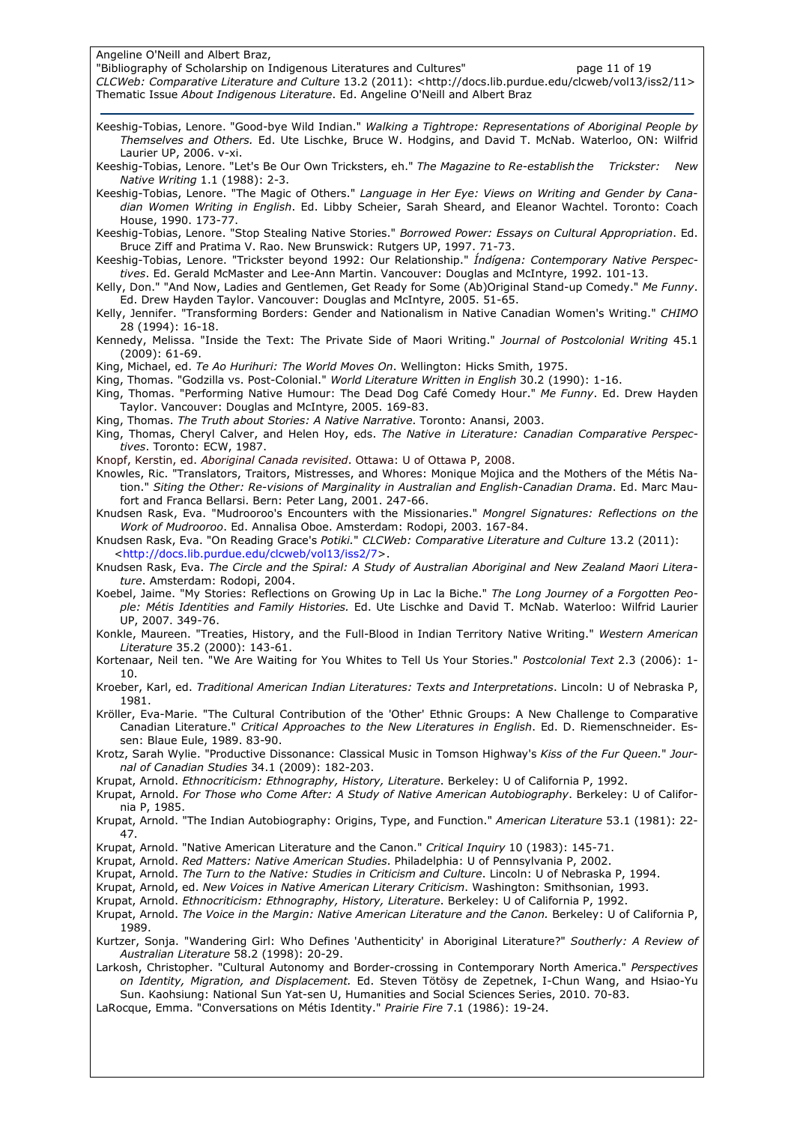Angeline O'Neill and Albert Braz, "Bibliography of Scholarship on Indigenous Literatures and Cultures" page 11 of 19 CLCWeb: Comparative Literature and Culture 13.2 (2011): <http://docs.lib.purdue.edu/clcweb/vol13/iss2/11> Thematic Issue About Indigenous Literature. Ed. Angeline O'Neill and Albert Braz Keeshig-Tobias, Lenore. "Good-bye Wild Indian." Walking a Tightrope: Representations of Aboriginal People by Themselves and Others. Ed. Ute Lischke, Bruce W. Hodgins, and David T. McNab. Waterloo, ON: Wilfrid Laurier UP, 2006. v-xi. Keeshig-Tobias, Lenore. "Let's Be Our Own Tricksters, eh." The Magazine to Re-establish the Trickster: New Native Writing 1.1 (1988): 2-3. Keeshig-Tobias, Lenore. "The Magic of Others." Language in Her Eye: Views on Writing and Gender by Canadian Women Writing in English. Ed. Libby Scheier, Sarah Sheard, and Eleanor Wachtel. Toronto: Coach House, 1990. 173-77. Keeshig-Tobias, Lenore. "Stop Stealing Native Stories." Borrowed Power: Essays on Cultural Appropriation. Ed. Bruce Ziff and Pratima V. Rao. New Brunswick: Rutgers UP, 1997. 71-73. Keeshig-Tobias, Lenore. "Trickster beyond 1992: Our Relationship." Índígena: Contemporary Native Perspectives. Ed. Gerald McMaster and Lee-Ann Martin. Vancouver: Douglas and McIntyre, 1992. 101-13. Kelly, Don." "And Now, Ladies and Gentlemen, Get Ready for Some (Ab)Original Stand-up Comedy." Me Funny. Ed. Drew Hayden Taylor. Vancouver: Douglas and McIntyre, 2005. 51-65. Kelly, Jennifer. "Transforming Borders: Gender and Nationalism in Native Canadian Women's Writing." CHIMO 28 (1994): 16-18. Kennedy, Melissa. "Inside the Text: The Private Side of Maori Writing." Journal of Postcolonial Writing 45.1 (2009): 61-69. King, Michael, ed. Te Ao Hurihuri: The World Moves On. Wellington: Hicks Smith, 1975. King, Thomas. "Godzilla vs. Post-Colonial." World Literature Written in English 30.2 (1990): 1-16. King, Thomas. "Performing Native Humour: The Dead Dog Café Comedy Hour." Me Funny. Ed. Drew Hayden Taylor. Vancouver: Douglas and McIntyre, 2005. 169-83. King, Thomas. The Truth about Stories: A Native Narrative. Toronto: Anansi, 2003. King, Thomas, Cheryl Calver, and Helen Hoy, eds. The Native in Literature: Canadian Comparative Perspectives. Toronto: ECW, 1987. Knopf, Kerstin, ed. Aboriginal Canada revisited. Ottawa: U of Ottawa P, 2008. Knowles, Ric. "Translators, Traitors, Mistresses, and Whores: Monique Mojica and the Mothers of the Métis Nation." Siting the Other: Re-visions of Marginality in Australian and English-Canadian Drama. Ed. Marc Maufort and Franca Bellarsi. Bern: Peter Lang, 2001. 247-66. Knudsen Rask, Eva. "Mudrooroo's Encounters with the Missionaries." Mongrel Signatures: Reflections on the Work of Mudrooroo. Ed. Annalisa Oboe. Amsterdam: Rodopi, 2003. 167-84. Knudsen Rask, Eva. "On Reading Grace's Potiki." CLCWeb: Comparative Literature and Culture 13.2 (2011): <http://docs.lib.purdue.edu/clcweb/vol13/iss2/7>. Knudsen Rask, Eva. The Circle and the Spiral: A Study of Australian Aboriginal and New Zealand Maori Literature. Amsterdam: Rodopi, 2004. Koebel, Jaime. "My Stories: Reflections on Growing Up in Lac la Biche." The Long Journey of a Forgotten People: Métis Identities and Family Histories. Ed. Ute Lischke and David T. McNab. Waterloo: Wilfrid Laurier UP, 2007. 349-76. Konkle, Maureen. "Treaties, History, and the Full-Blood in Indian Territory Native Writing." Western American Literature 35.2 (2000): 143-61. Kortenaar, Neil ten. "We Are Waiting for You Whites to Tell Us Your Stories." Postcolonial Text 2.3 (2006): 1- 10. Kroeber, Karl, ed. Traditional American Indian Literatures: Texts and Interpretations. Lincoln: U of Nebraska P, 1981. Kröller, Eva-Marie. "The Cultural Contribution of the 'Other' Ethnic Groups: A New Challenge to Comparative Canadian Literature." Critical Approaches to the New Literatures in English. Ed. D. Riemenschneider. Essen: Blaue Eule, 1989. 83-90. Krotz, Sarah Wylie. "Productive Dissonance: Classical Music in Tomson Highway's Kiss of the Fur Queen." Journal of Canadian Studies 34.1 (2009): 182-203. Krupat, Arnold. Ethnocriticism: Ethnography, History, Literature. Berkeley: U of California P, 1992. Krupat, Arnold. For Those who Come After: A Study of Native American Autobiography. Berkeley: U of California P, 1985. Krupat, Arnold. "The Indian Autobiography: Origins, Type, and Function." American Literature 53.1 (1981): 22- 47. Krupat, Arnold. "Native American Literature and the Canon." Critical Inquiry 10 (1983): 145-71. Krupat, Arnold. Red Matters: Native American Studies. Philadelphia: U of Pennsylvania P, 2002. Krupat, Arnold. The Turn to the Native: Studies in Criticism and Culture. Lincoln: U of Nebraska P, 1994. Krupat, Arnold, ed. New Voices in Native American Literary Criticism. Washington: Smithsonian, 1993. Krupat, Arnold. Ethnocriticism: Ethnography, History, Literature. Berkeley: U of California P, 1992. Krupat, Arnold. The Voice in the Margin: Native American Literature and the Canon. Berkeley: U of California P, 1989. Kurtzer, Sonja. "Wandering Girl: Who Defines 'Authenticity' in Aboriginal Literature?" Southerly: A Review of Australian Literature 58.2 (1998): 20-29. Larkosh, Christopher. "Cultural Autonomy and Border-crossing in Contemporary North America." Perspectives on Identity, Migration, and Displacement. Ed. Steven Tötösy de Zepetnek, I-Chun Wang, and Hsiao-Yu Sun. Kaohsiung: National Sun Yat-sen U, Humanities and Social Sciences Series, 2010. 70-83. LaRocque, Emma. "Conversations on Métis Identity." Prairie Fire 7.1 (1986): 19-24.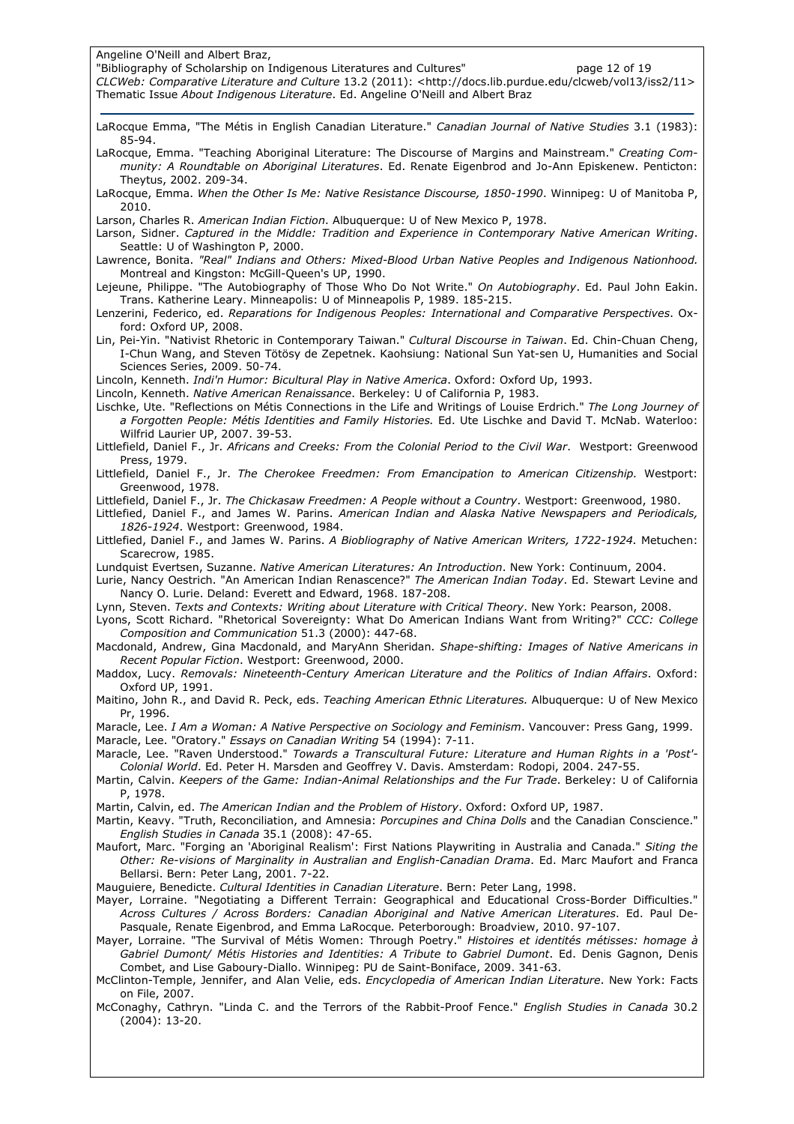Angeline O'Neill and Albert Braz, "Bibliography of Scholarship on Indigenous Literatures and Cultures" page 12 of 19 CLCWeb: Comparative Literature and Culture 13.2 (2011): <http://docs.lib.purdue.edu/clcweb/vol13/iss2/11> Thematic Issue About Indigenous Literature. Ed. Angeline O'Neill and Albert Braz LaRocque Emma, "The Métis in English Canadian Literature." Canadian Journal of Native Studies 3.1 (1983): 85-94. LaRocque, Emma. "Teaching Aboriginal Literature: The Discourse of Margins and Mainstream." Creating Community: A Roundtable on Aboriginal Literatures. Ed. Renate Eigenbrod and Jo-Ann Episkenew. Penticton: Theytus, 2002. 209-34. LaRocque, Emma. When the Other Is Me: Native Resistance Discourse, 1850-1990. Winnipeg: U of Manitoba P, 2010. Larson, Charles R. American Indian Fiction. Albuquerque: U of New Mexico P, 1978. Larson, Sidner. Captured in the Middle: Tradition and Experience in Contemporary Native American Writing. Seattle: U of Washington P, 2000. Lawrence, Bonita. "Real" Indians and Others: Mixed-Blood Urban Native Peoples and Indigenous Nationhood. Montreal and Kingston: McGill-Queen's UP, 1990. Lejeune, Philippe. "The Autobiography of Those Who Do Not Write." On Autobiography. Ed. Paul John Eakin. Trans. Katherine Leary. Minneapolis: U of Minneapolis P, 1989. 185-215. Lenzerini, Federico, ed. Reparations for Indigenous Peoples: International and Comparative Perspectives. Oxford: Oxford UP, 2008. Lin, Pei-Yin. "Nativist Rhetoric in Contemporary Taiwan." Cultural Discourse in Taiwan. Ed. Chin-Chuan Cheng, I-Chun Wang, and Steven Tötösy de Zepetnek. Kaohsiung: National Sun Yat-sen U, Humanities and Social Sciences Series, 2009. 50-74. Lincoln, Kenneth. Indi'n Humor: Bicultural Play in Native America. Oxford: Oxford Up, 1993. Lincoln, Kenneth. Native American Renaissance. Berkeley: U of California P, 1983. Lischke, Ute. "Reflections on Métis Connections in the Life and Writings of Louise Erdrich." The Long Journey of a Forgotten People: Métis Identities and Family Histories. Ed. Ute Lischke and David T. McNab. Waterloo: Wilfrid Laurier UP, 2007. 39-53. Littlefield, Daniel F., Jr. Africans and Creeks: From the Colonial Period to the Civil War. Westport: Greenwood Press, 1979. Littlefield, Daniel F., Jr. The Cherokee Freedmen: From Emancipation to American Citizenship. Westport: Greenwood, 1978. Littlefield, Daniel F., Jr. The Chickasaw Freedmen: A People without a Country. Westport: Greenwood, 1980. Littlefied, Daniel F., and James W. Parins. American Indian and Alaska Native Newspapers and Periodicals, 1826-1924. Westport: Greenwood, 1984. Littlefied, Daniel F., and James W. Parins. A Biobliography of Native American Writers, 1722-1924. Metuchen: Scarecrow, 1985. Lundquist Evertsen, Suzanne. Native American Literatures: An Introduction. New York: Continuum, 2004. Lurie, Nancy Oestrich. "An American Indian Renascence?" The American Indian Today. Ed. Stewart Levine and Nancy O. Lurie. Deland: Everett and Edward, 1968. 187-208. Lynn, Steven. Texts and Contexts: Writing about Literature with Critical Theory. New York: Pearson, 2008. Lyons, Scott Richard. "Rhetorical Sovereignty: What Do American Indians Want from Writing?" CCC: College Composition and Communication 51.3 (2000): 447-68. Macdonald, Andrew, Gina Macdonald, and MaryAnn Sheridan. Shape-shifting: Images of Native Americans in Recent Popular Fiction. Westport: Greenwood, 2000. Maddox, Lucy. Removals: Nineteenth-Century American Literature and the Politics of Indian Affairs. Oxford: Oxford UP, 1991. Maitino, John R., and David R. Peck, eds. Teaching American Ethnic Literatures. Albuquerque: U of New Mexico Pr, 1996. Maracle, Lee. I Am a Woman: A Native Perspective on Sociology and Feminism. Vancouver: Press Gang, 1999. Maracle, Lee. "Oratory." Essays on Canadian Writing 54 (1994): 7-11. Maracle, Lee. "Raven Understood." Towards a Transcultural Future: Literature and Human Rights in a 'Post'- Colonial World. Ed. Peter H. Marsden and Geoffrey V. Davis. Amsterdam: Rodopi, 2004. 247-55. Martin, Calvin. Keepers of the Game: Indian-Animal Relationships and the Fur Trade. Berkeley: U of California P, 1978. Martin, Calvin, ed. The American Indian and the Problem of History. Oxford: Oxford UP, 1987. Martin, Keavy. "Truth, Reconciliation, and Amnesia: Porcupines and China Dolls and the Canadian Conscience." English Studies in Canada 35.1 (2008): 47-65. Maufort, Marc. "Forging an 'Aboriginal Realism': First Nations Playwriting in Australia and Canada." Siting the Other: Re-visions of Marginality in Australian and English-Canadian Drama. Ed. Marc Maufort and Franca Bellarsi. Bern: Peter Lang, 2001. 7-22. Mauguiere, Benedicte. Cultural Identities in Canadian Literature. Bern: Peter Lang, 1998. Mayer, Lorraine. "Negotiating a Different Terrain: Geographical and Educational Cross-Border Difficulties." Across Cultures / Across Borders: Canadian Aboriginal and Native American Literatures. Ed. Paul De-Pasquale, Renate Eigenbrod, and Emma LaRocque. Peterborough: Broadview, 2010. 97-107. Mayer, Lorraine. "The Survival of Métis Women: Through Poetry." Histoires et identités métisses: homage à Gabriel Dumont/ Métis Histories and Identities: A Tribute to Gabriel Dumont. Ed. Denis Gagnon, Denis Combet, and Lise Gaboury-Diallo. Winnipeg: PU de Saint-Boniface, 2009. 341-63. McClinton-Temple, Jennifer, and Alan Velie, eds. Encyclopedia of American Indian Literature. New York: Facts on File, 2007. McConaghy, Cathryn. "Linda C. and the Terrors of the Rabbit-Proof Fence." English Studies in Canada 30.2 (2004): 13-20.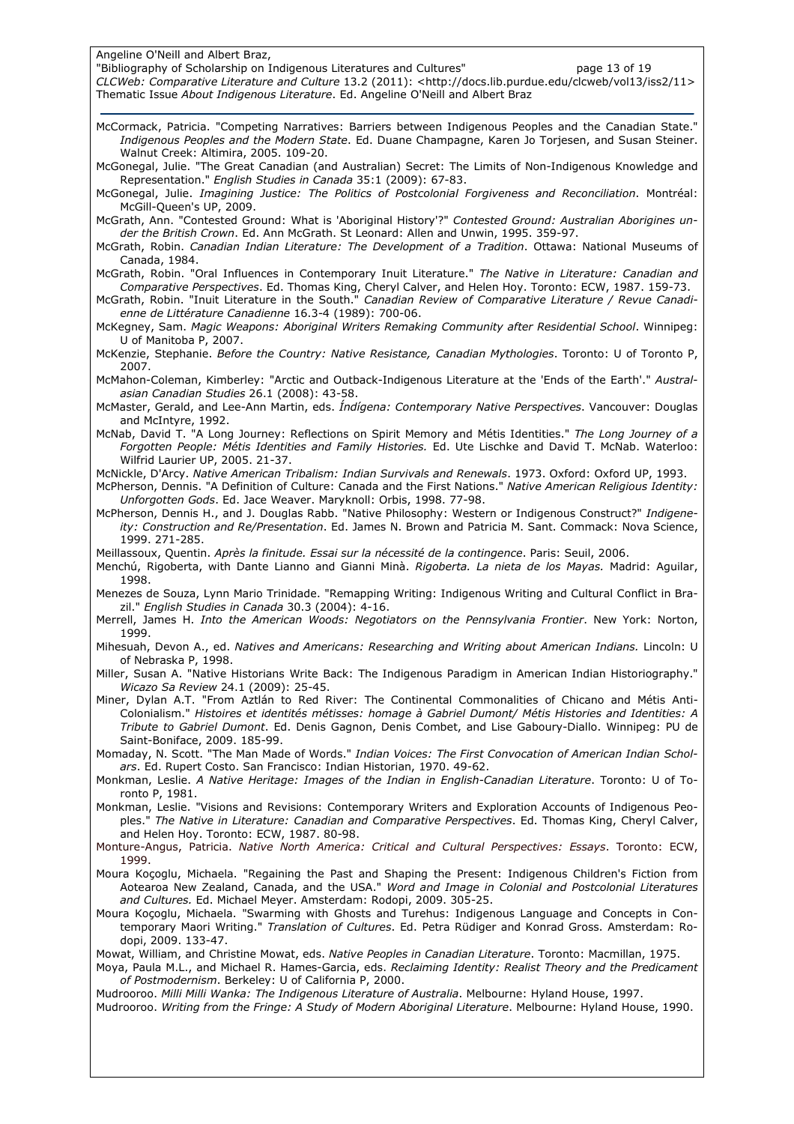Angeline O'Neill and Albert Braz, "Bibliography of Scholarship on Indigenous Literatures and Cultures" page 13 of 19 CLCWeb: Comparative Literature and Culture 13.2 (2011): <http://docs.lib.purdue.edu/clcweb/vol13/iss2/11> Thematic Issue About Indigenous Literature. Ed. Angeline O'Neill and Albert Braz McCormack, Patricia. "Competing Narratives: Barriers between Indigenous Peoples and the Canadian State." Indigenous Peoples and the Modern State. Ed. Duane Champagne, Karen Jo Torjesen, and Susan Steiner. Walnut Creek: Altimira, 2005. 109-20. McGonegal, Julie. "The Great Canadian (and Australian) Secret: The Limits of Non-Indigenous Knowledge and Representation." English Studies in Canada 35:1 (2009): 67-83. McGonegal, Julie. Imagining Justice: The Politics of Postcolonial Forgiveness and Reconciliation. Montréal: McGill-Queen's UP, 2009. McGrath, Ann. "Contested Ground: What is 'Aboriginal History'?" Contested Ground: Australian Aborigines under the British Crown. Ed. Ann McGrath. St Leonard: Allen and Unwin, 1995. 359-97. McGrath, Robin. Canadian Indian Literature: The Development of a Tradition. Ottawa: National Museums of Canada, 1984. McGrath, Robin. "Oral Influences in Contemporary Inuit Literature." The Native in Literature: Canadian and Comparative Perspectives. Ed. Thomas King, Cheryl Calver, and Helen Hoy. Toronto: ECW, 1987. 159-73. McGrath, Robin. "Inuit Literature in the South." Canadian Review of Comparative Literature / Revue Canadienne de Littérature Canadienne 16.3-4 (1989): 700-06. McKegney, Sam. Magic Weapons: Aboriginal Writers Remaking Community after Residential School. Winnipeg: U of Manitoba P, 2007. McKenzie, Stephanie. Before the Country: Native Resistance, Canadian Mythologies. Toronto: U of Toronto P, 2007. McMahon-Coleman, Kimberley: "Arctic and Outback-Indigenous Literature at the 'Ends of the Earth'." Australasian Canadian Studies 26.1 (2008): 43-58. McMaster, Gerald, and Lee-Ann Martin, eds. *Indígena: Contemporary Native Perspectives*. Vancouver: Douglas and McIntyre, 1992. McNab, David T. "A Long Journey: Reflections on Spirit Memory and Métis Identities." The Long Journey of a Forgotten People: Métis Identities and Family Histories. Ed. Ute Lischke and David T. McNab. Waterloo: Wilfrid Laurier UP, 2005. 21-37. McNickle, D'Arcy. Native American Tribalism: Indian Survivals and Renewals. 1973. Oxford: Oxford UP, 1993. McPherson, Dennis. "A Definition of Culture: Canada and the First Nations." Native American Religious Identity: Unforgotten Gods. Ed. Jace Weaver. Maryknoll: Orbis, 1998. 77-98. McPherson, Dennis H., and J. Douglas Rabb. "Native Philosophy: Western or Indigenous Construct?" Indigeneity: Construction and Re/Presentation. Ed. James N. Brown and Patricia M. Sant. Commack: Nova Science, 1999. 271-285. Meillassoux, Quentin. Après la finitude. Essai sur la nécessité de la contingence. Paris: Seuil, 2006. Menchú, Rigoberta, with Dante Lianno and Gianni Minà. Rigoberta. La nieta de los Mayas. Madrid: Aguilar, 1998. Menezes de Souza, Lynn Mario Trinidade. "Remapping Writing: Indigenous Writing and Cultural Conflict in Brazil." English Studies in Canada 30.3 (2004): 4-16. Merrell, James H. Into the American Woods: Negotiators on the Pennsylvania Frontier. New York: Norton, 1999. Mihesuah, Devon A., ed. Natives and Americans: Researching and Writing about American Indians. Lincoln: U of Nebraska P, 1998. Miller, Susan A. "Native Historians Write Back: The Indigenous Paradigm in American Indian Historiography." Wicazo Sa Review 24.1 (2009): 25-45. Miner, Dylan A.T. "From Aztlán to Red River: The Continental Commonalities of Chicano and Métis Anti-Colonialism." Histoires et identités métisses: homage à Gabriel Dumont/ Métis Histories and Identities: A Tribute to Gabriel Dumont. Ed. Denis Gagnon, Denis Combet, and Lise Gaboury-Diallo. Winnipeg: PU de Saint-Boniface, 2009. 185-99. Momaday, N. Scott. "The Man Made of Words." Indian Voices: The First Convocation of American Indian Scholars. Ed. Rupert Costo. San Francisco: Indian Historian, 1970. 49-62. Monkman, Leslie. A Native Heritage: Images of the Indian in English-Canadian Literature. Toronto: U of Toronto P, 1981. Monkman, Leslie. "Visions and Revisions: Contemporary Writers and Exploration Accounts of Indigenous Peoples." The Native in Literature: Canadian and Comparative Perspectives. Ed. Thomas King, Cheryl Calver, and Helen Hoy. Toronto: ECW, 1987. 80-98. Monture-Angus, Patricia. Native North America: Critical and Cultural Perspectives: Essays. Toronto: ECW, 1999. Moura Koçoglu, Michaela. "Regaining the Past and Shaping the Present: Indigenous Children's Fiction from Aotearoa New Zealand, Canada, and the USA." Word and Image in Colonial and Postcolonial Literatures and Cultures. Ed. Michael Meyer. Amsterdam: Rodopi, 2009. 305-25. Moura Koçoglu, Michaela. "Swarming with Ghosts and Turehus: Indigenous Language and Concepts in Contemporary Maori Writing." Translation of Cultures. Ed. Petra Rüdiger and Konrad Gross. Amsterdam: Rodopi, 2009. 133-47. Mowat, William, and Christine Mowat, eds. Native Peoples in Canadian Literature. Toronto: Macmillan, 1975. Moya, Paula M.L., and Michael R. Hames-Garcia, eds. Reclaiming Identity: Realist Theory and the Predicament of Postmodernism. Berkeley: U of California P, 2000. Mudrooroo. Milli Milli Wanka: The Indigenous Literature of Australia. Melbourne: Hyland House, 1997. Mudrooroo. Writing from the Fringe: A Study of Modern Aboriginal Literature. Melbourne: Hyland House, 1990.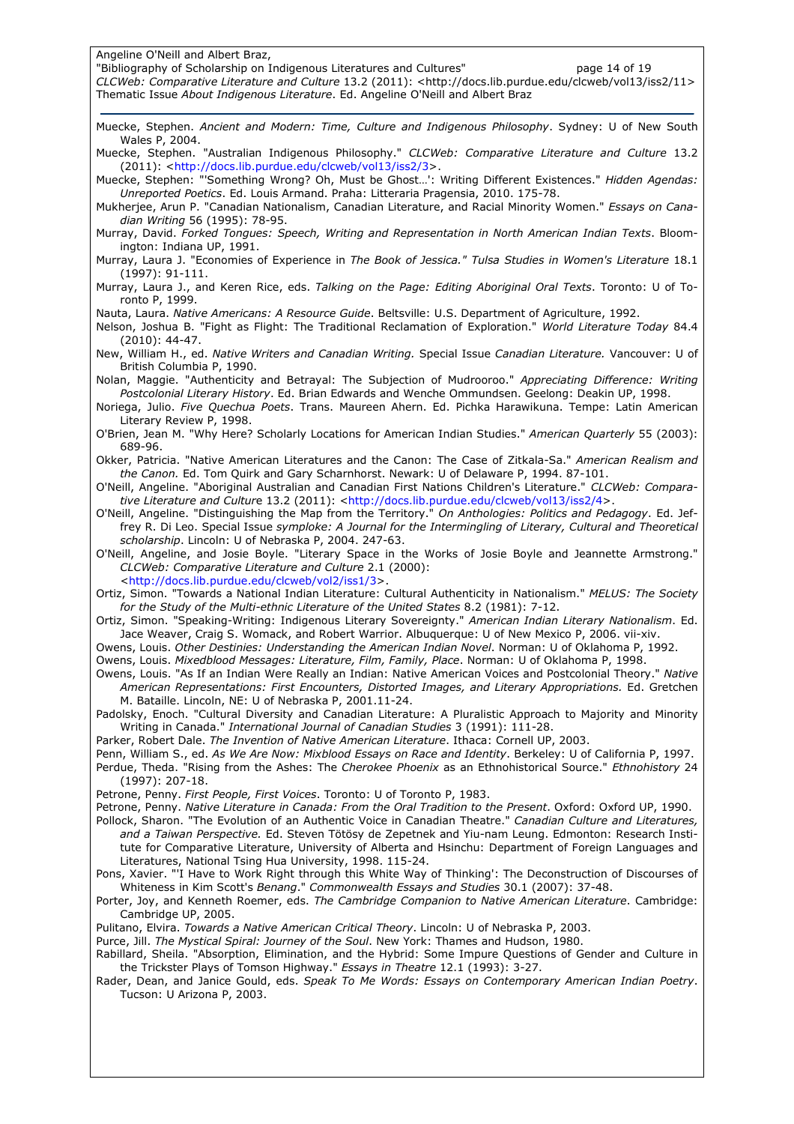Angeline O'Neill and Albert Braz, "Bibliography of Scholarship on Indigenous Literatures and Cultures" page 14 of 19 CLCWeb: Comparative Literature and Culture 13.2 (2011): <http://docs.lib.purdue.edu/clcweb/vol13/iss2/11> Thematic Issue About Indigenous Literature. Ed. Angeline O'Neill and Albert Braz Muecke, Stephen. Ancient and Modern: Time, Culture and Indigenous Philosophy. Sydney: U of New South Wales P, 2004. Muecke, Stephen. "Australian Indigenous Philosophy." CLCWeb: Comparative Literature and Culture 13.2 (2011): <http://docs.lib.purdue.edu/clcweb/vol13/iss2/3>. Muecke, Stephen: "'Something Wrong? Oh, Must be Ghost...': Writing Different Existences." Hidden Agendas: Unreported Poetics. Ed. Louis Armand. Praha: Litteraria Pragensia, 2010. 175-78. Mukherjee, Arun P. "Canadian Nationalism, Canadian Literature, and Racial Minority Women." Essays on Canadian Writing 56 (1995): 78-95. Murray, David. Forked Tongues: Speech, Writing and Representation in North American Indian Texts. Bloomington: Indiana UP, 1991. Murray, Laura J. "Economies of Experience in The Book of Jessica." Tulsa Studies in Women's Literature 18.1 (1997): 91-111. Murray, Laura J., and Keren Rice, eds. Talking on the Page: Editing Aboriginal Oral Texts. Toronto: U of Toronto P, 1999. Nauta, Laura. Native Americans: A Resource Guide. Beltsville: U.S. Department of Agriculture, 1992. Nelson, Joshua B. "Fight as Flight: The Traditional Reclamation of Exploration." World Literature Today 84.4 (2010): 44-47. New, William H., ed. Native Writers and Canadian Writing. Special Issue Canadian Literature. Vancouver: U of British Columbia P, 1990. Nolan, Maggie. "Authenticity and Betrayal: The Subjection of Mudrooroo." Appreciating Difference: Writing Postcolonial Literary History. Ed. Brian Edwards and Wenche Ommundsen. Geelong: Deakin UP, 1998. Noriega, Julio. Five Quechua Poets. Trans. Maureen Ahern. Ed. Pichka Harawikuna. Tempe: Latin American Literary Review P, 1998. O'Brien, Jean M. "Why Here? Scholarly Locations for American Indian Studies." American Quarterly 55 (2003): 689-96. Okker, Patricia. "Native American Literatures and the Canon: The Case of Zitkala-Sa." American Realism and the Canon. Ed. Tom Quirk and Gary Scharnhorst. Newark: U of Delaware P, 1994. 87-101. O'Neill, Angeline. "Aboriginal Australian and Canadian First Nations Children's Literature." CLCWeb: Comparative Literature and Culture 13.2 (2011): <http://docs.lib.purdue.edu/clcweb/vol13/iss2/4>. O'Neill, Angeline. "Distinguishing the Map from the Territory." On Anthologies: Politics and Pedagogy. Ed. Jeffrey R. Di Leo. Special Issue symploke: A Journal for the Intermingling of Literary, Cultural and Theoretical scholarship. Lincoln: U of Nebraska P, 2004. 247-63. O'Neill, Angeline, and Josie Boyle. "Literary Space in the Works of Josie Boyle and Jeannette Armstrong." CLCWeb: Comparative Literature and Culture 2.1 (2000): <http://docs.lib.purdue.edu/clcweb/vol2/iss1/3>. Ortiz, Simon. "Towards a National Indian Literature: Cultural Authenticity in Nationalism." MELUS: The Society for the Study of the Multi-ethnic Literature of the United States 8.2 (1981): 7-12. Ortiz, Simon. "Speaking-Writing: Indigenous Literary Sovereignty." American Indian Literary Nationalism. Ed. Jace Weaver, Craig S. Womack, and Robert Warrior. Albuquerque: U of New Mexico P, 2006. vii-xiv. Owens, Louis. Other Destinies: Understanding the American Indian Novel. Norman: U of Oklahoma P, 1992. Owens, Louis. Mixedblood Messages: Literature, Film, Family, Place. Norman: U of Oklahoma P, 1998. Owens, Louis. "As If an Indian Were Really an Indian: Native American Voices and Postcolonial Theory." Native American Representations: First Encounters, Distorted Images, and Literary Appropriations. Ed. Gretchen M. Bataille. Lincoln, NE: U of Nebraska P, 2001.11-24. Padolsky, Enoch. "Cultural Diversity and Canadian Literature: A Pluralistic Approach to Majority and Minority Writing in Canada." International Journal of Canadian Studies 3 (1991): 111-28. Parker, Robert Dale. The Invention of Native American Literature. Ithaca: Cornell UP, 2003. Penn, William S., ed. As We Are Now: Mixblood Essays on Race and Identity. Berkeley: U of California P, 1997. Perdue, Theda. "Rising from the Ashes: The Cherokee Phoenix as an Ethnohistorical Source." Ethnohistory 24 (1997): 207-18. Petrone, Penny. First People, First Voices. Toronto: U of Toronto P, 1983. Petrone, Penny. Native Literature in Canada: From the Oral Tradition to the Present. Oxford: Oxford UP, 1990. Pollock, Sharon. "The Evolution of an Authentic Voice in Canadian Theatre." Canadian Culture and Literatures, and a Taiwan Perspective. Ed. Steven Tötösy de Zepetnek and Yiu-nam Leung. Edmonton: Research Institute for Comparative Literature, University of Alberta and Hsinchu: Department of Foreign Languages and Literatures, National Tsing Hua University, 1998. 115-24. Pons, Xavier. "'I Have to Work Right through this White Way of Thinking': The Deconstruction of Discourses of Whiteness in Kim Scott's Benang." Commonwealth Essays and Studies 30.1 (2007): 37-48. Porter, Joy, and Kenneth Roemer, eds. The Cambridge Companion to Native American Literature. Cambridge: Cambridge UP, 2005. Pulitano, Elvira. Towards a Native American Critical Theory. Lincoln: U of Nebraska P, 2003. Purce, Jill. The Mystical Spiral: Journey of the Soul. New York: Thames and Hudson, 1980. Rabillard, Sheila. "Absorption, Elimination, and the Hybrid: Some Impure Questions of Gender and Culture in the Trickster Plays of Tomson Highway." Essays in Theatre 12.1 (1993): 3-27. Rader, Dean, and Janice Gould, eds. Speak To Me Words: Essays on Contemporary American Indian Poetry. Tucson: U Arizona P, 2003.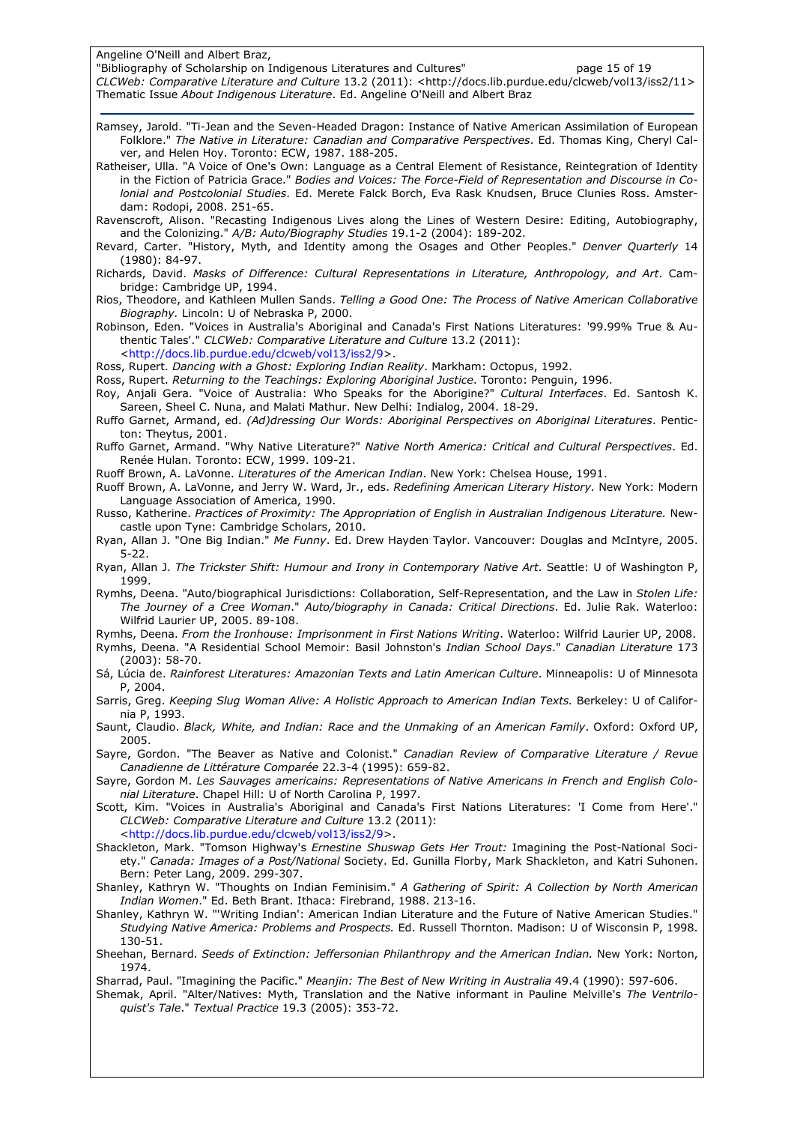"Bibliography of Scholarship on Indigenous Literatures and Cultures" page 15 of 19

CLCWeb: Comparative Literature and Culture 13.2 (2011): <http://docs.lib.purdue.edu/clcweb/vol13/iss2/11> Thematic Issue About Indigenous Literature. Ed. Angeline O'Neill and Albert Braz

Ramsey, Jarold. "Ti-Jean and the Seven-Headed Dragon: Instance of Native American Assimilation of European Folklore." The Native in Literature: Canadian and Comparative Perspectives. Ed. Thomas King, Cheryl Calver, and Helen Hoy. Toronto: ECW, 1987. 188-205.

Ratheiser, Ulla. "A Voice of One's Own: Language as a Central Element of Resistance, Reintegration of Identity in the Fiction of Patricia Grace." Bodies and Voices: The Force-Field of Representation and Discourse in Colonial and Postcolonial Studies. Ed. Merete Falck Borch, Eva Rask Knudsen, Bruce Clunies Ross. Amsterdam: Rodopi, 2008. 251-65.

Ravenscroft, Alison. "Recasting Indigenous Lives along the Lines of Western Desire: Editing, Autobiography, and the Colonizing." A/B: Auto/Biography Studies 19.1-2 (2004): 189-202.

Revard, Carter. "History, Myth, and Identity among the Osages and Other Peoples." Denver Quarterly 14 (1980): 84-97.

Richards, David. Masks of Difference: Cultural Representations in Literature, Anthropology, and Art. Cambridge: Cambridge UP, 1994.

Rios, Theodore, and Kathleen Mullen Sands. Telling a Good One: The Process of Native American Collaborative Biography. Lincoln: U of Nebraska P, 2000.

Robinson, Eden. "Voices in Australia's Aboriginal and Canada's First Nations Literatures: '99.99% True & Authentic Tales'." CLCWeb: Comparative Literature and Culture 13.2 (2011):

<http://docs.lib.purdue.edu/clcweb/vol13/iss2/9>.

Ross, Rupert. Dancing with a Ghost: Exploring Indian Reality. Markham: Octopus, 1992.

Ross, Rupert. Returning to the Teachings: Exploring Aboriginal Justice. Toronto: Penguin, 1996.

Roy, Anjali Gera. "Voice of Australia: Who Speaks for the Aborigine?" Cultural Interfaces. Ed. Santosh K. Sareen, Sheel C. Nuna, and Malati Mathur. New Delhi: Indialog, 2004. 18-29.

Ruffo Garnet, Armand, ed. (Ad)dressing Our Words: Aboriginal Perspectives on Aboriginal Literatures. Penticton: Theytus, 2001.

Ruffo Garnet, Armand. "Why Native Literature?" Native North America: Critical and Cultural Perspectives. Ed. Renée Hulan. Toronto: ECW, 1999. 109-21.

Ruoff Brown, A. LaVonne. Literatures of the American Indian. New York: Chelsea House, 1991.

Ruoff Brown, A. LaVonne, and Jerry W. Ward, Jr., eds. Redefining American Literary History. New York: Modern Language Association of America, 1990.

Russo, Katherine. Practices of Proximity: The Appropriation of English in Australian Indigenous Literature. Newcastle upon Tyne: Cambridge Scholars, 2010.

Ryan, Allan J. "One Big Indian." Me Funny. Ed. Drew Hayden Taylor. Vancouver: Douglas and McIntyre, 2005. 5-22.

Ryan, Allan J. The Trickster Shift: Humour and Irony in Contemporary Native Art. Seattle: U of Washington P, 1999.

Rymhs, Deena. "Auto/biographical Jurisdictions: Collaboration, Self-Representation, and the Law in Stolen Life: The Journey of a Cree Woman." Auto/biography in Canada: Critical Directions. Ed. Julie Rak. Waterloo: Wilfrid Laurier UP, 2005. 89-108.

Rymhs, Deena. From the Ironhouse: Imprisonment in First Nations Writing. Waterloo: Wilfrid Laurier UP, 2008.

Rymhs, Deena. "A Residential School Memoir: Basil Johnston's Indian School Days." Canadian Literature 173 (2003): 58-70.

Sá, Lúcia de. Rainforest Literatures: Amazonian Texts and Latin American Culture. Minneapolis: U of Minnesota P, 2004.

Sarris, Greg. Keeping Slug Woman Alive: A Holistic Approach to American Indian Texts. Berkeley: U of California P, 1993.

Saunt, Claudio. Black, White, and Indian: Race and the Unmaking of an American Family. Oxford: Oxford UP, 2005.

Sayre, Gordon. "The Beaver as Native and Colonist." Canadian Review of Comparative Literature / Revue Canadienne de Littérature Comparée 22.3-4 (1995): 659-82.

Sayre, Gordon M. Les Sauvages americains: Representations of Native Americans in French and English Colonial Literature. Chapel Hill: U of North Carolina P, 1997.

Scott, Kim. "Voices in Australia's Aboriginal and Canada's First Nations Literatures: 'I Come from Here'." CLCWeb: Comparative Literature and Culture 13.2 (2011): <http://docs.lib.purdue.edu/clcweb/vol13/iss2/9>.

Shackleton, Mark. "Tomson Highway's Ernestine Shuswap Gets Her Trout: Imagining the Post-National Society." Canada: Images of a Post/National Society. Ed. Gunilla Florby, Mark Shackleton, and Katri Suhonen. Bern: Peter Lang, 2009. 299-307.

Shanley, Kathryn W. "Thoughts on Indian Feminisim." A Gathering of Spirit: A Collection by North American Indian Women." Ed. Beth Brant. Ithaca: Firebrand, 1988. 213-16.

Shanley, Kathryn W. "'Writing Indian': American Indian Literature and the Future of Native American Studies." Studying Native America: Problems and Prospects. Ed. Russell Thornton. Madison: U of Wisconsin P, 1998. 130-51.

Sheehan, Bernard. Seeds of Extinction: Jeffersonian Philanthropy and the American Indian. New York: Norton, 1974.

Sharrad, Paul. "Imagining the Pacific." Meanjin: The Best of New Writing in Australia 49.4 (1990): 597-606.

Shemak, April. "Alter/Natives: Myth, Translation and the Native informant in Pauline Melville's The Ventriloquist's Tale." Textual Practice 19.3 (2005): 353-72.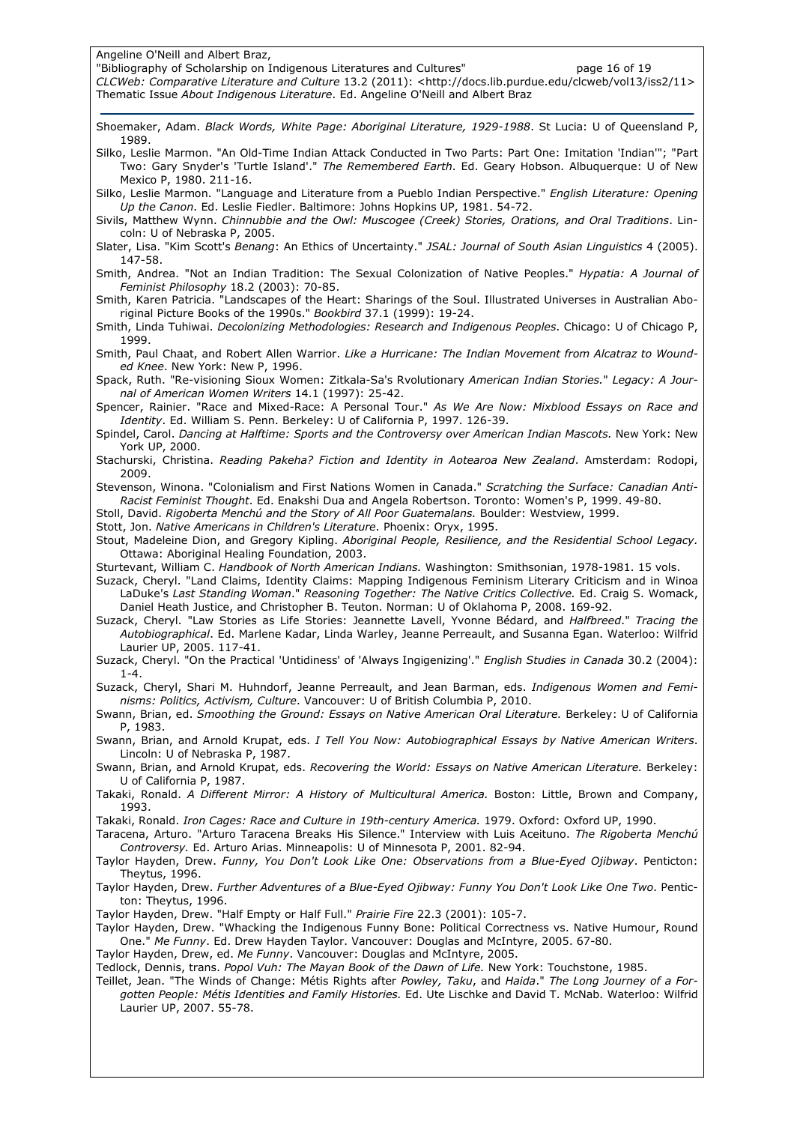Angeline O'Neill and Albert Braz, "Bibliography of Scholarship on Indigenous Literatures and Cultures" page 16 of 19 CLCWeb: Comparative Literature and Culture 13.2 (2011): <http://docs.lib.purdue.edu/clcweb/vol13/iss2/11> Thematic Issue About Indigenous Literature. Ed. Angeline O'Neill and Albert Braz Shoemaker, Adam. Black Words, White Page: Aboriginal Literature, 1929-1988. St Lucia: U of Queensland P, 1989. Silko, Leslie Marmon. "An Old-Time Indian Attack Conducted in Two Parts: Part One: Imitation 'Indian'"; "Part Two: Gary Snyder's 'Turtle Island'." The Remembered Earth. Ed. Geary Hobson. Albuquerque: U of New Mexico P, 1980. 211-16. Silko, Leslie Marmon. "Language and Literature from a Pueblo Indian Perspective." English Literature: Opening Up the Canon. Ed. Leslie Fiedler. Baltimore: Johns Hopkins UP, 1981. 54-72. Sivils, Matthew Wynn. Chinnubbie and the Owl: Muscogee (Creek) Stories, Orations, and Oral Traditions. Lincoln: U of Nebraska P, 2005. Slater, Lisa. "Kim Scott's Benang: An Ethics of Uncertainty." JSAL: Journal of South Asian Linguistics 4 (2005). 147-58. Smith, Andrea. "Not an Indian Tradition: The Sexual Colonization of Native Peoples." Hypatia: A Journal of Feminist Philosophy 18.2 (2003): 70-85. Smith, Karen Patricia. "Landscapes of the Heart: Sharings of the Soul. Illustrated Universes in Australian Aboriginal Picture Books of the 1990s." Bookbird 37.1 (1999): 19-24. Smith, Linda Tuhiwai. Decolonizing Methodologies: Research and Indigenous Peoples. Chicago: U of Chicago P, 1999. Smith, Paul Chaat, and Robert Allen Warrior. Like a Hurricane: The Indian Movement from Alcatraz to Wounded Knee. New York: New P, 1996. Spack, Ruth. "Re-visioning Sioux Women: Zitkala-Sa's Rvolutionary American Indian Stories." Legacy: A Journal of American Women Writers 14.1 (1997): 25-42. Spencer, Rainier. "Race and Mixed-Race: A Personal Tour." As We Are Now: Mixblood Essays on Race and Identity. Ed. William S. Penn. Berkeley: U of California P, 1997. 126-39. Spindel, Carol. Dancing at Halftime: Sports and the Controversy over American Indian Mascots. New York: New York UP, 2000. Stachurski, Christina. Reading Pakeha? Fiction and Identity in Aotearoa New Zealand. Amsterdam: Rodopi, 2009. Stevenson, Winona. "Colonialism and First Nations Women in Canada." Scratching the Surface: Canadian Anti-Racist Feminist Thought. Ed. Enakshi Dua and Angela Robertson. Toronto: Women's P, 1999. 49-80. Stoll, David. Rigoberta Menchú and the Story of All Poor Guatemalans. Boulder: Westview, 1999. Stott, Jon. Native Americans in Children's Literature. Phoenix: Oryx, 1995. Stout, Madeleine Dion, and Gregory Kipling. Aboriginal People, Resilience, and the Residential School Legacy. Ottawa: Aboriginal Healing Foundation, 2003. Sturtevant, William C. Handbook of North American Indians. Washington: Smithsonian, 1978-1981. 15 vols. Suzack, Cheryl. "Land Claims, Identity Claims: Mapping Indigenous Feminism Literary Criticism and in Winoa LaDuke's Last Standing Woman." Reasoning Together: The Native Critics Collective. Ed. Craig S. Womack, Daniel Heath Justice, and Christopher B. Teuton. Norman: U of Oklahoma P, 2008. 169-92. Suzack, Cheryl. "Law Stories as Life Stories: Jeannette Lavell, Yvonne Bédard, and Halfbreed." Tracing the Autobiographical. Ed. Marlene Kadar, Linda Warley, Jeanne Perreault, and Susanna Egan. Waterloo: Wilfrid Laurier UP, 2005. 117-41. Suzack, Cheryl. "On the Practical 'Untidiness' of 'Always Ingigenizing'." English Studies in Canada 30.2 (2004):  $1 - 4.$ Suzack, Cheryl, Shari M. Huhndorf, Jeanne Perreault, and Jean Barman, eds. Indigenous Women and Feminisms: Politics, Activism, Culture. Vancouver: U of British Columbia P, 2010. Swann, Brian, ed. Smoothing the Ground: Essays on Native American Oral Literature. Berkeley: U of California P, 1983. Swann, Brian, and Arnold Krupat, eds. I Tell You Now: Autobiographical Essays by Native American Writers. Lincoln: U of Nebraska P, 1987. Swann, Brian, and Arnold Krupat, eds. Recovering the World: Essays on Native American Literature. Berkeley: U of California P, 1987. Takaki, Ronald. A Different Mirror: A History of Multicultural America. Boston: Little, Brown and Company, 1993. Takaki, Ronald. Iron Cages: Race and Culture in 19th-century America. 1979. Oxford: Oxford UP, 1990. Taracena, Arturo. "Arturo Taracena Breaks His Silence." Interview with Luis Aceituno. The Rigoberta Menchú Controversy. Ed. Arturo Arias. Minneapolis: U of Minnesota P, 2001. 82-94. Taylor Hayden, Drew. Funny, You Don't Look Like One: Observations from a Blue-Eyed Ojibway. Penticton: Theytus, 1996. Taylor Hayden, Drew. Further Adventures of a Blue-Eyed Ojibway: Funny You Don't Look Like One Two. Penticton: Theytus, 1996. Taylor Hayden, Drew. "Half Empty or Half Full." Prairie Fire 22.3 (2001): 105-7. Taylor Hayden, Drew. "Whacking the Indigenous Funny Bone: Political Correctness vs. Native Humour, Round One." Me Funny. Ed. Drew Hayden Taylor. Vancouver: Douglas and McIntyre, 2005. 67-80. Taylor Hayden, Drew, ed. Me Funny. Vancouver: Douglas and McIntyre, 2005. Tedlock, Dennis, trans. *Popol Vuh: The Mayan Book of the Dawn of Life.* New York: Touchstone, 1985. Teillet, Jean. "The Winds of Change: Métis Rights after *Powley, Taku*, and *Haida*." *The Long Journey of a For*gotten People: Métis Identities and Family Histories. Ed. Ute Lischke and David T. McNab. Waterloo: Wilfrid Laurier UP, 2007. 55-78.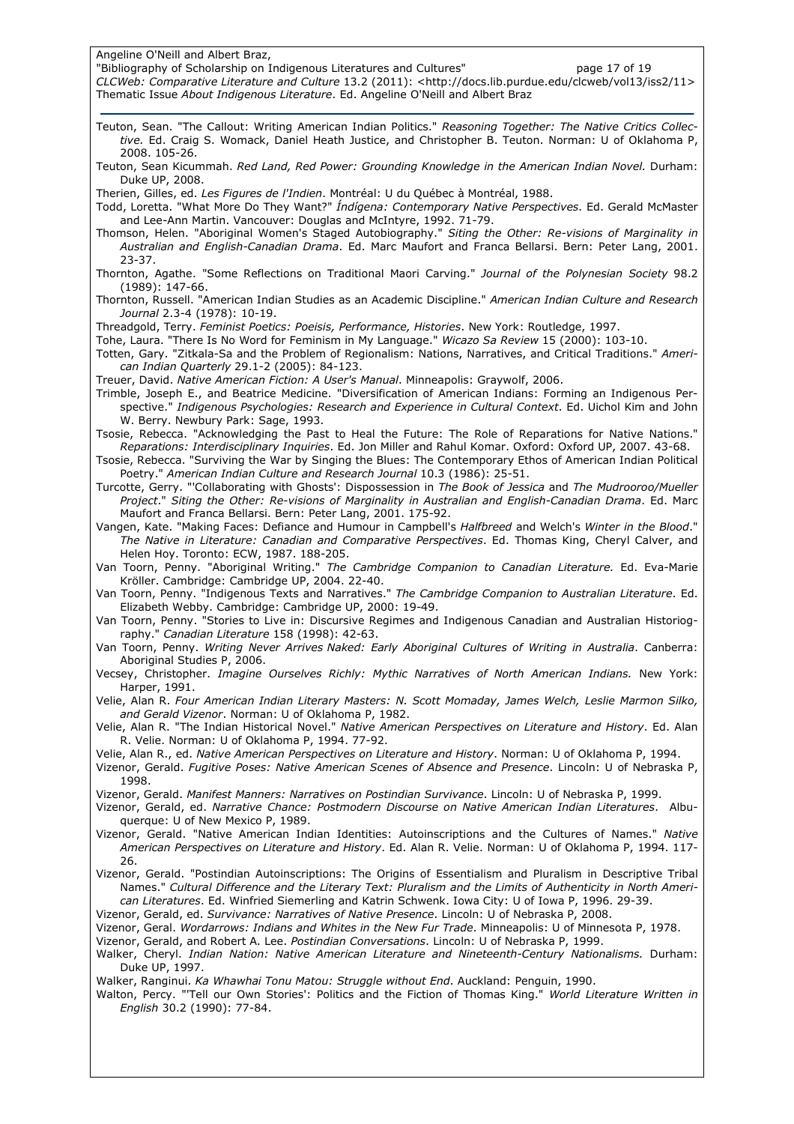Angeline O'Neill and Albert Braz, "Bibliography of Scholarship on Indigenous Literatures and Cultures" page 17 of 19 CLCWeb: Comparative Literature and Culture 13.2 (2011): <http://docs.lib.purdue.edu/clcweb/vol13/iss2/11> Thematic Issue About Indigenous Literature. Ed. Angeline O'Neill and Albert Braz Teuton, Sean. "The Callout: Writing American Indian Politics." Reasoning Together: The Native Critics Collective. Ed. Craig S. Womack, Daniel Heath Justice, and Christopher B. Teuton. Norman: U of Oklahoma P, 2008. 105-26. Teuton, Sean Kicummah. Red Land, Red Power: Grounding Knowledge in the American Indian Novel. Durham: Duke UP, 2008. Therien, Gilles, ed. Les Figures de l'Indien. Montréal: U du Québec à Montréal, 1988. Todd, Loretta. "What More Do They Want?" Índígena: Contemporary Native Perspectives. Ed. Gerald McMaster and Lee-Ann Martin. Vancouver: Douglas and McIntyre, 1992. 71-79. Thomson, Helen. "Aboriginal Women's Staged Autobiography." Siting the Other: Re-visions of Marginality in Australian and English-Canadian Drama. Ed. Marc Maufort and Franca Bellarsi. Bern: Peter Lang, 2001. 23-37. Thornton, Agathe. "Some Reflections on Traditional Maori Carving." Journal of the Polynesian Society 98.2 (1989): 147-66. Thornton, Russell. "American Indian Studies as an Academic Discipline." American Indian Culture and Research Journal 2.3-4 (1978): 10-19. Threadgold, Terry. Feminist Poetics: Poeisis, Performance, Histories. New York: Routledge, 1997. Tohe, Laura. "There Is No Word for Feminism in My Language." Wicazo Sa Review 15 (2000): 103-10. Totten, Gary. "Zitkala-Sa and the Problem of Regionalism: Nations, Narratives, and Critical Traditions." American Indian Quarterly 29.1-2 (2005): 84-123. Treuer, David. Native American Fiction: A User's Manual. Minneapolis: Graywolf, 2006. Trimble, Joseph E., and Beatrice Medicine. "Diversification of American Indians: Forming an Indigenous Perspective." Indigenous Psychologies: Research and Experience in Cultural Context. Ed. Uichol Kim and John W. Berry. Newbury Park: Sage, 1993. Tsosie, Rebecca. "Acknowledging the Past to Heal the Future: The Role of Reparations for Native Nations." Reparations: Interdisciplinary Inquiries. Ed. Jon Miller and Rahul Komar. Oxford: Oxford UP, 2007. 43-68. Tsosie, Rebecca. "Surviving the War by Singing the Blues: The Contemporary Ethos of American Indian Political Poetry." American Indian Culture and Research Journal 10.3 (1986): 25-51. Turcotte, Gerry. "'Collaborating with Ghosts': Dispossession in The Book of Jessica and The Mudrooroo/Mueller Project." Siting the Other: Re-visions of Marginality in Australian and English-Canadian Drama. Ed. Marc Maufort and Franca Bellarsi. Bern: Peter Lang, 2001. 175-92. Vangen, Kate. "Making Faces: Defiance and Humour in Campbell's Halfbreed and Welch's Winter in the Blood." The Native in Literature: Canadian and Comparative Perspectives. Ed. Thomas King, Cheryl Calver, and Helen Hoy. Toronto: ECW, 1987. 188-205. Van Toorn, Penny. "Aboriginal Writing." The Cambridge Companion to Canadian Literature. Ed. Eva-Marie Kröller. Cambridge: Cambridge UP, 2004. 22-40. Van Toorn, Penny. "Indigenous Texts and Narratives." The Cambridge Companion to Australian Literature. Ed. Elizabeth Webby. Cambridge: Cambridge UP, 2000: 19-49. Van Toorn, Penny. "Stories to Live in: Discursive Regimes and Indigenous Canadian and Australian Historiography." Canadian Literature 158 (1998): 42-63. Van Toorn, Penny. Writing Never Arrives Naked: Early Aboriginal Cultures of Writing in Australia. Canberra: Aboriginal Studies P, 2006. Vecsey, Christopher. Imagine Ourselves Richly: Mythic Narratives of North American Indians. New York: Harper, 1991. Velie, Alan R. Four American Indian Literary Masters: N. Scott Momaday, James Welch, Leslie Marmon Silko, and Gerald Vizenor. Norman: U of Oklahoma P, 1982. Velie, Alan R. "The Indian Historical Novel." Native American Perspectives on Literature and History. Ed. Alan R. Velie. Norman: U of Oklahoma P, 1994. 77-92. Velie, Alan R., ed. Native American Perspectives on Literature and History. Norman: U of Oklahoma P, 1994. Vizenor, Gerald. Fugitive Poses: Native American Scenes of Absence and Presence. Lincoln: U of Nebraska P, 1998. Vizenor, Gerald. Manifest Manners: Narratives on Postindian Survivance. Lincoln: U of Nebraska P, 1999. Vizenor, Gerald, ed. Narrative Chance: Postmodern Discourse on Native American Indian Literatures. Albuquerque: U of New Mexico P, 1989. Vizenor, Gerald. "Native American Indian Identities: Autoinscriptions and the Cultures of Names." Native American Perspectives on Literature and History. Ed. Alan R. Velie. Norman: U of Oklahoma P, 1994. 117- 26. Vizenor, Gerald. "Postindian Autoinscriptions: The Origins of Essentialism and Pluralism in Descriptive Tribal Names." Cultural Difference and the Literary Text: Pluralism and the Limits of Authenticity in North American Literatures. Ed. Winfried Siemerling and Katrin Schwenk. Iowa City: U of Iowa P, 1996. 29-39. Vizenor, Gerald, ed. Survivance: Narratives of Native Presence. Lincoln: U of Nebraska P, 2008. Vizenor, Geral. Wordarrows: Indians and Whites in the New Fur Trade. Minneapolis: U of Minnesota P, 1978. Vizenor, Gerald, and Robert A. Lee. Postindian Conversations. Lincoln: U of Nebraska P, 1999. Walker, Cheryl. Indian Nation: Native American Literature and Nineteenth-Century Nationalisms. Durham: Duke UP, 1997. Walker, Ranginui. Ka Whawhai Tonu Matou: Struggle without End. Auckland: Penguin, 1990. Walton, Percy. "'Tell our Own Stories': Politics and the Fiction of Thomas King." World Literature Written in English 30.2 (1990): 77-84.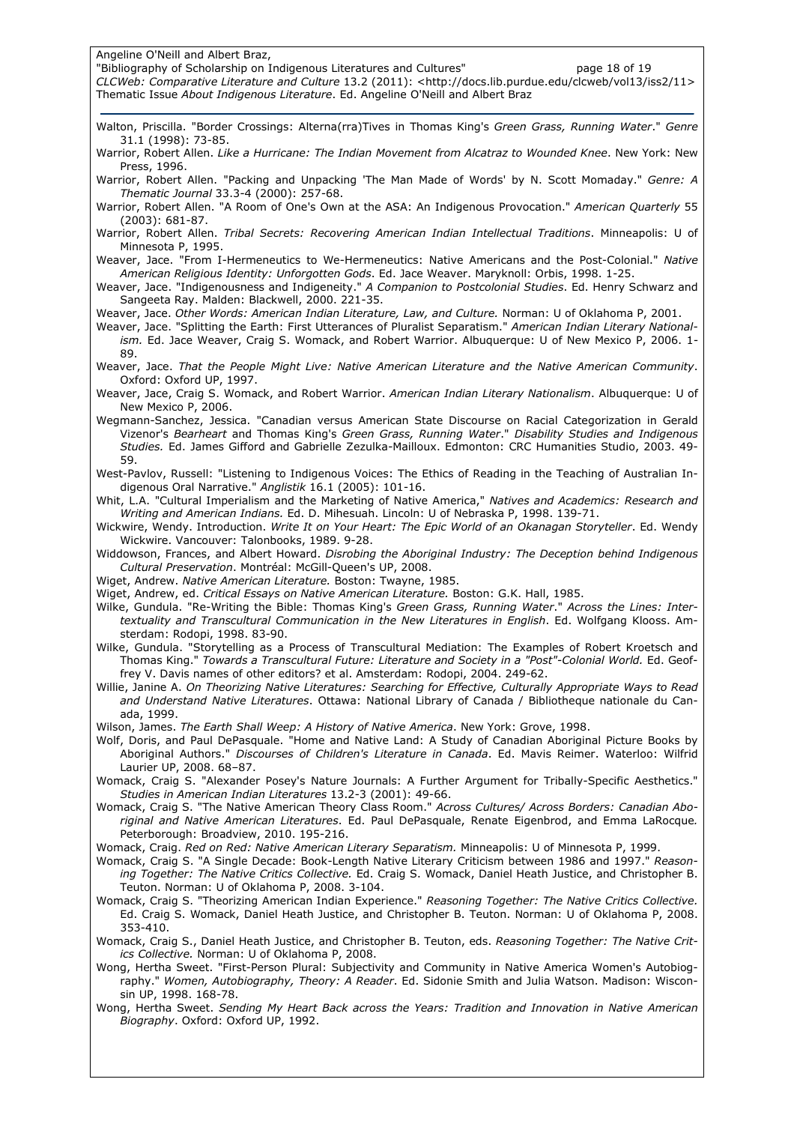"Bibliography of Scholarship on Indigenous Literatures and Cultures" page 18 of 19

CLCWeb: Comparative Literature and Culture 13.2 (2011): <http://docs.lib.purdue.edu/clcweb/vol13/iss2/11> Thematic Issue About Indigenous Literature. Ed. Angeline O'Neill and Albert Braz

- Walton, Priscilla. "Border Crossings: Alterna(rra)Tives in Thomas King's Green Grass, Running Water." Genre 31.1 (1998): 73-85.
- Warrior, Robert Allen. Like a Hurricane: The Indian Movement from Alcatraz to Wounded Knee. New York: New Press, 1996.
- Warrior, Robert Allen. "Packing and Unpacking 'The Man Made of Words' by N. Scott Momaday." Genre: A Thematic Journal 33.3-4 (2000): 257-68.
- Warrior, Robert Allen. "A Room of One's Own at the ASA: An Indigenous Provocation." American Quarterly 55 (2003): 681-87.
- Warrior, Robert Allen. Tribal Secrets: Recovering American Indian Intellectual Traditions. Minneapolis: U of Minnesota P, 1995.
- Weaver, Jace. "From I-Hermeneutics to We-Hermeneutics: Native Americans and the Post-Colonial." Native American Religious Identity: Unforgotten Gods. Ed. Jace Weaver. Maryknoll: Orbis, 1998. 1-25.
- Weaver, Jace. "Indigenousness and Indigeneity." A Companion to Postcolonial Studies. Ed. Henry Schwarz and Sangeeta Ray. Malden: Blackwell, 2000. 221-35.
- Weaver, Jace. Other Words: American Indian Literature, Law, and Culture. Norman: U of Oklahoma P, 2001.
- Weaver, Jace. "Splitting the Earth: First Utterances of Pluralist Separatism." American Indian Literary Nationalism. Ed. Jace Weaver, Craig S. Womack, and Robert Warrior. Albuquerque: U of New Mexico P, 2006. 1-89.
- Weaver, Jace. That the People Might Live: Native American Literature and the Native American Community. Oxford: Oxford UP, 1997.
- Weaver, Jace, Craig S. Womack, and Robert Warrior. American Indian Literary Nationalism. Albuquerque: U of New Mexico P, 2006.
- Wegmann-Sanchez, Jessica. "Canadian versus American State Discourse on Racial Categorization in Gerald Vizenor's Bearheart and Thomas King's Green Grass, Running Water." Disability Studies and Indigenous Studies. Ed. James Gifford and Gabrielle Zezulka-Mailloux. Edmonton: CRC Humanities Studio, 2003. 49- 59.
- West-Pavlov, Russell: "Listening to Indigenous Voices: The Ethics of Reading in the Teaching of Australian Indigenous Oral Narrative." Anglistik 16.1 (2005): 101-16.
- Whit, L.A. "Cultural Imperialism and the Marketing of Native America," Natives and Academics: Research and Writing and American Indians. Ed. D. Mihesuah. Lincoln: U of Nebraska P, 1998. 139-71.
- Wickwire, Wendy. Introduction. Write It on Your Heart: The Epic World of an Okanagan Storyteller. Ed. Wendy Wickwire. Vancouver: Talonbooks, 1989. 9-28.
- Widdowson, Frances, and Albert Howard. Disrobing the Aboriginal Industry: The Deception behind Indigenous Cultural Preservation. Montréal: McGill-Queen's UP, 2008.
- Wiget, Andrew. Native American Literature. Boston: Twayne, 1985.
- Wiget, Andrew, ed. Critical Essays on Native American Literature. Boston: G.K. Hall, 1985.
- Wilke, Gundula. "Re-Writing the Bible: Thomas King's Green Grass, Running Water." Across the Lines: Intertextuality and Transcultural Communication in the New Literatures in English. Ed. Wolfgang Klooss. Amsterdam: Rodopi, 1998. 83-90.
- Wilke, Gundula. "Storytelling as a Process of Transcultural Mediation: The Examples of Robert Kroetsch and Thomas King." Towards a Transcultural Future: Literature and Society in a "Post"-Colonial World. Ed. Geoffrey V. Davis names of other editors? et al. Amsterdam: Rodopi, 2004. 249-62.
- Willie, Janine A. On Theorizing Native Literatures: Searching for Effective, Culturally Appropriate Ways to Read and Understand Native Literatures. Ottawa: National Library of Canada / Bibliotheque nationale du Canada, 1999.
- Wilson, James. The Earth Shall Weep: A History of Native America. New York: Grove, 1998.
- Wolf, Doris, and Paul DePasquale. "Home and Native Land: A Study of Canadian Aboriginal Picture Books by Aboriginal Authors." Discourses of Children's Literature in Canada. Ed. Mavis Reimer. Waterloo: Wilfrid Laurier UP, 2008. 68–87.
- Womack, Craig S. "Alexander Posey's Nature Journals: A Further Argument for Tribally-Specific Aesthetics." Studies in American Indian Literatures 13.2-3 (2001): 49-66.
- Womack, Craig S. "The Native American Theory Class Room." Across Cultures/ Across Borders: Canadian Aboriginal and Native American Literatures. Ed. Paul DePasquale, Renate Eigenbrod, and Emma LaRocque. Peterborough: Broadview, 2010. 195-216.
- Womack, Craig. Red on Red: Native American Literary Separatism. Minneapolis: U of Minnesota P, 1999.
- Womack, Craig S. "A Single Decade: Book-Length Native Literary Criticism between 1986 and 1997." Reasoning Together: The Native Critics Collective. Ed. Craig S. Womack, Daniel Heath Justice, and Christopher B. Teuton. Norman: U of Oklahoma P, 2008. 3-104.
- Womack, Craig S. "Theorizing American Indian Experience." Reasoning Together: The Native Critics Collective. Ed. Craig S. Womack, Daniel Heath Justice, and Christopher B. Teuton. Norman: U of Oklahoma P, 2008. 353-410.
- Womack, Craig S., Daniel Heath Justice, and Christopher B. Teuton, eds. Reasoning Together: The Native Critics Collective. Norman: U of Oklahoma P, 2008.
- Wong, Hertha Sweet. "First-Person Plural: Subjectivity and Community in Native America Women's Autobiography." Women, Autobiography, Theory: A Reader. Ed. Sidonie Smith and Julia Watson. Madison: Wisconsin UP, 1998. 168-78.
- Wong, Hertha Sweet. Sending My Heart Back across the Years: Tradition and Innovation in Native American Biography. Oxford: Oxford UP, 1992.